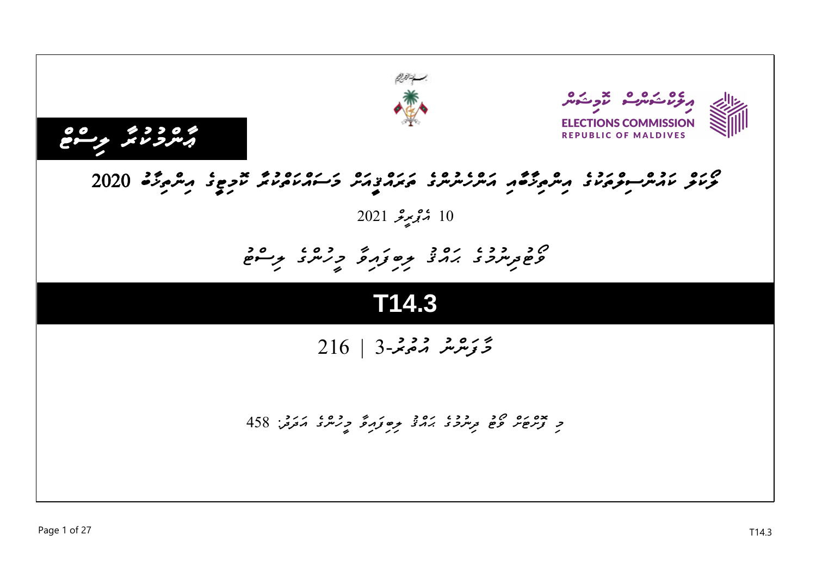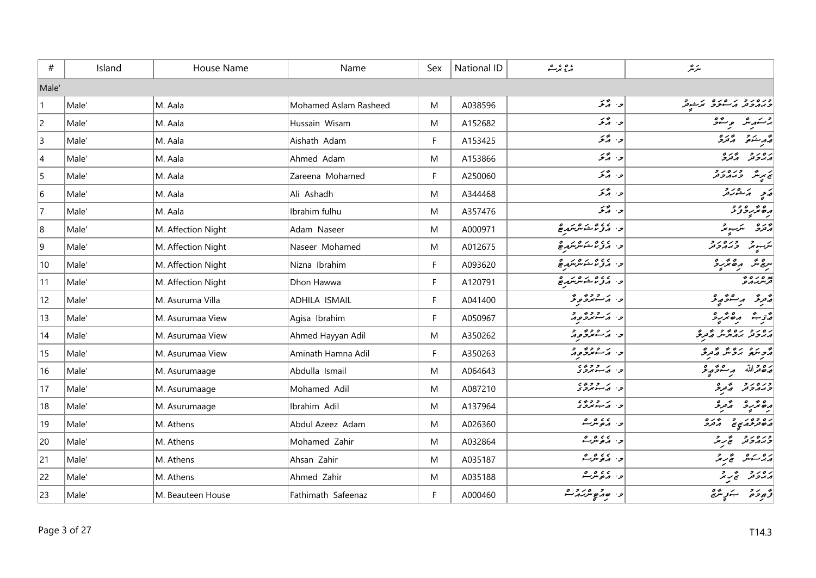| #              | Island | House Name         | Name                  | Sex | National ID | ، ه ، مر ه<br>د <u>،</u> بر ه       | ىئرىتر                                  |
|----------------|--------|--------------------|-----------------------|-----|-------------|-------------------------------------|-----------------------------------------|
| Male'          |        |                    |                       |     |             |                                     |                                         |
| $\vert$ 1      | Male'  | M. Aala            | Mohamed Aslam Rasheed | M   | A038596     | د . د څخه                           | ورەرو رەرە كەنبوتر                      |
| $ 2\rangle$    | Male'  | M. Aala            | Hussain Wisam         | M   | A152682     | و٠ دگری                             | برسكريش وسقو                            |
| $\vert$ 3      | Male'  | M. Aala            | Aishath Adam          | F   | A153425     | د . د څخه                           | و شده و دره<br>مگر شده مگر              |
| $\vert 4$      | Male'  | M. Aala            | Ahmed Adam            | M   | A153866     | و٠ دگری                             | ره رح ده<br>پرسرو پرترو                 |
| $\overline{5}$ | Male'  | M. Aala            | Zareena Mohamed       | F   | A250060     | و٠ دگری                             | تح بریٹر ۔ ویرو د                       |
| $\overline{6}$ | Male'  | M. Aala            | Ali Ashadh            | M   | A344468     | د . د څخه                           | كابح كالمشركة                           |
| 7              | Male'  | M. Aala            | Ibrahim fulhu         | M   | A357476     | د . د څخه                           | ە ھېمەر 23 دې<br>برھېمەر چە بولمىي      |
| 8              | Male'  | M. Affection Night | Adam Naseer           | M   | A000971     | ە بەرە شەھەتىدى                     | أيرده للكبيوير                          |
| $ 9\rangle$    | Male'  | M. Affection Night | Naseer Mohamed        | M   | A012675     | ە بەرە ئەشرىترىدە<br>ت              | بترجيعي وره دو                          |
| 10             | Male'  | M. Affection Night | Nizna Ibrahim         | F   | A093620     | ے میں مشرکت ہے<br>حسن میں مشرکت ہے  |                                         |
| 11             | Male'  | M. Affection Night | Dhon Hawwa            | F   | A120791     | ە بەرە ئەشرىكىدە ھ                  | یو ہ ر ہ یے<br>ترس پر د بح              |
| 12             | Male'  | M. Asuruma Villa   | ADHILA ISMAIL         | F   | A041400     | د · م <sup>ر د د</sup> ېروگونځه     | أشريحه المستحصي                         |
| 13             | Male'  | M. Asurumaa View   | Agisa Ibrahim         | F   | A050967     | و٠ ۵ سورو و ۵                       | ړې شه ره ټربرو                          |
| 14             | Male'  | M. Asurumaa View   | Ahmed Hayyan Adil     | M   | A350262     | د . م سورځ و م                      | גם גם גם מיכ מתב<br>גם בני הגיליית הבתב |
| 15             | Male'  | M. Asurumaa View   | Aminath Hamna Adil    | F   | A350263     | و٠ كەسىمىۋە                         | أأدبره بروائر أأورد                     |
| 16             | Male'  | M. Asurumaage      | Abdulla Ismail        | M   | A064643     | و . ه کروه وه و<br>و . ه کرونوی     | أرەقراللە برىشۇرېد                      |
| 17             | Male'  | M. Asurumaage      | Mohamed Adil          | M   | A087210     | و . ه کروه و و و و<br>و . ه کرونو و | ورەر دەرد                               |
| 18             | Male'  | M. Asurumaage      | Ibrahim Adil          | M   | A137964     | و . ه کروه و و و و<br>و . ه کرونو و | رە ئرىر ئىرگى                           |
| 19             | Male'  | M. Athens          | Abdul Azeez Adam      | M   | A026360     | و، مەھ س                            | גם כסג ב הינים                          |
| 20             | Male'  | M. Athens          | Mohamed Zahir         | M   | A032864     | ه ، مره مرت<br>د ۱ مره مرت          |                                         |
| 21             | Male'  | M. Athens          | Ahsan Zahir           | M   | A035187     | ه ، مره مرت<br>د ۱ مره مرت          | أروك عي المحر المحر بالرجمة             |
| 22             | Male'  | M. Athens          | Ahmed Zahir           | M   | A035188     | ه ۱۰ مهرس                           | رەرد ئمرىر                              |
| 23             | Male'  | M. Beauteen House  | Fathimath Safeenaz    | F   | A000460     | اد و مور محمد معموم الله            | أزودة سكريتني                           |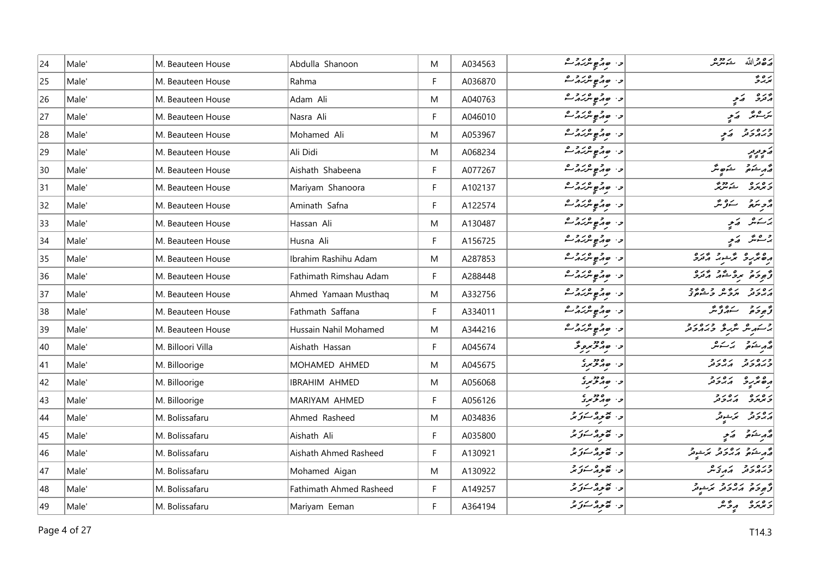| 24           | Male' | M. Beauteen House | Abdulla Shanoon                | M           | A034563 | د <sub>۱</sub> ۰ مورځ شرکه د ۱۰           | برە دالله<br>شەمترىتر                                                                                                                                                                                                            |
|--------------|-------|-------------------|--------------------------------|-------------|---------|-------------------------------------------|----------------------------------------------------------------------------------------------------------------------------------------------------------------------------------------------------------------------------------|
| 25           | Male' | M. Beauteen House | Rahma                          | F           | A036870 | و . ھەق ھەر كەر م                         | برە پ                                                                                                                                                                                                                            |
| 26           | Male' | M. Beauteen House | Adam Ali                       | M           | A040763 | د <sub>۱</sub> ۰ مورځ شرکه د م            | پە رە<br>مەنزۈ<br>ەتىر                                                                                                                                                                                                           |
| 27           | Male' | M. Beauteen House | Nasra Ali                      | F           | A046010 | د <sub>۱</sub> ۰ مورځ شرکه د ۱۰           | ىئرىشەتتر<br>ەكىپىيە                                                                                                                                                                                                             |
| 28           | Male' | M. Beauteen House | Mohamed Ali                    | M           | A053967 | د وړې شرکه ک                              | ورەرو كو                                                                                                                                                                                                                         |
| 29           | Male' | M. Beauteen House | Ali Didi                       | M           | A068234 | و و مرتو شرکرد ه                          | ړ و دردر<br>په پ                                                                                                                                                                                                                 |
| 30           | Male' | M. Beauteen House | Aishath Shabeena               | $\mathsf F$ | A077267 | د <sub>مو</sub> رځ شر <i>ن</i> د ک        | لأرشكم شكوش                                                                                                                                                                                                                      |
| 31           | Male' | M. Beauteen House | Mariyam Shanoora               | $\mathsf F$ | A102137 | د <sub>۱</sub> ۰ مورځ شرکه د م            | ر ه ر ه<br><del>ر</del> بربرگ<br>شە چەتقرىپىر                                                                                                                                                                                    |
| 32           | Male' | M. Beauteen House | Aminath Safna                  | F           | A122574 | د <sub>۱</sub> ۰ مورځ شرکه د ۱۰           | أرمز<br>سەۋىتر                                                                                                                                                                                                                   |
| 33           | Male' | M. Beauteen House | Hassan Ali                     | M           | A130487 | د <sub>ن</sub> م <sub>و</sub> رځ شرکه د ه | بزستەنتىر<br>ەتىر                                                                                                                                                                                                                |
| 34           | Male' | M. Beauteen House | Husna Ali                      | F           | A156725 | د <sub>۱</sub> ۰ مرکزم مرکزم د            | اي <u>ن مثل</u> ق الأمير                                                                                                                                                                                                         |
| 35           | Male' | M. Beauteen House | Ibrahim Rashihu Adam           | M           | A287853 | د <sub>۱</sub> ۰ مورځ مر <i>برد</i> ک     | مصرير رميد مده                                                                                                                                                                                                                   |
| 36           | Male' | M. Beauteen House | Fathimath Rimshau Adam         | $\mathsf F$ | A288448 | כי סתפייתו בי                             | و د د ده د د دره<br>و دوخو مرد شهر مدرد                                                                                                                                                                                          |
| 37           | Male' | M. Beauteen House | Ahmed Yamaan Musthaq           | M           | A332756 | و و مورځ شرکه ده                          | رەر د بەھ دەپرى<br>مەدىر مەشرىرىشى                                                                                                                                                                                               |
| 38           | Male' | M. Beauteen House | Fathmath Saffana               | F           | A334011 | د <sub>۱</sub> ۰ مورځ شرکه د ۱۰           | أزجوج والمتمر والمحمد                                                                                                                                                                                                            |
| 39           | Male' | M. Beauteen House | Hussain Nahil Mohamed          | M           | A344216 | د <sub>۱</sub> ۰ مورځ شرکه د ۱۰           | بر سکر مگر محمد از در در در در این محمد استان محمد استان در این در این در این در در این دست که دست که با کار د<br>محمد استان که در این دست که در این دست که دست که دست که دست که دست که دست که دست که دست که دست که دست که دست ک |
| 40           | Male' | M. Billoori Villa | Aishath Hassan                 | F           | A045674 | د· ۱۵۴۶ تومرو څر                          | ۇرمىشقى ئەسكەش                                                                                                                                                                                                                   |
| 41           | Male' | M. Billoorige     | MOHAMED AHMED                  | M           | A045675 | ه دو ده<br>د ۱۳۶۴ کار                     | כנסנכ נסנכ<br>כגמכ <mark>ט מ</mark> גכ <b>ט</b>                                                                                                                                                                                  |
| 42           | Male' | M. Billoorige     | IBRAHIM AHMED                  | M           | A056068 | ه دو ده<br>د ۱۳۶۴ کرد                     | دە ئەرد دەرد                                                                                                                                                                                                                     |
| $ 43\rangle$ | Male' | M. Billoorige     | MARIYAM AHMED                  | F           | A056126 | ه د هم د د ه<br>د ۱۰ هر د برد             | נפנס נפנד                                                                                                                                                                                                                        |
| 44           | Male' | M. Bolissafaru    | Ahmed Rasheed                  | M           | A034836 | د به خوړ کسونو تر                         | أيره برو محمد المحمد المحمد                                                                                                                                                                                                      |
| 45           | Male' | M. Bolissafaru    | Aishath Ali                    | F           | A035800 | د به محرور مسکو مر                        | أقهر شنقى أقدمي                                                                                                                                                                                                                  |
| 46           | Male' | M. Bolissafaru    | Aishath Ahmed Rasheed          | F           | A130921 | د په خوړ کرونو تر                         | وكرم شكرة وكروائه المراشوقر                                                                                                                                                                                                      |
| 47           | Male' | M. Bolissafaru    | Mohamed Aigan                  | M           | A130922 | د ، ځوه کورو                              | ورەرو مەتكى                                                                                                                                                                                                                      |
| 48           | Male' | M. Bolissafaru    | <b>Fathimath Ahmed Rasheed</b> | F           | A149257 | د به <i>محود گروند</i>                    | و د د د د د د برخونه                                                                                                                                                                                                             |
| 49           | Male' | M. Bolissafaru    | Mariyam Eeman                  | F           | A364194 | د په تورگرو تر                            | ويرمرو برؤش                                                                                                                                                                                                                      |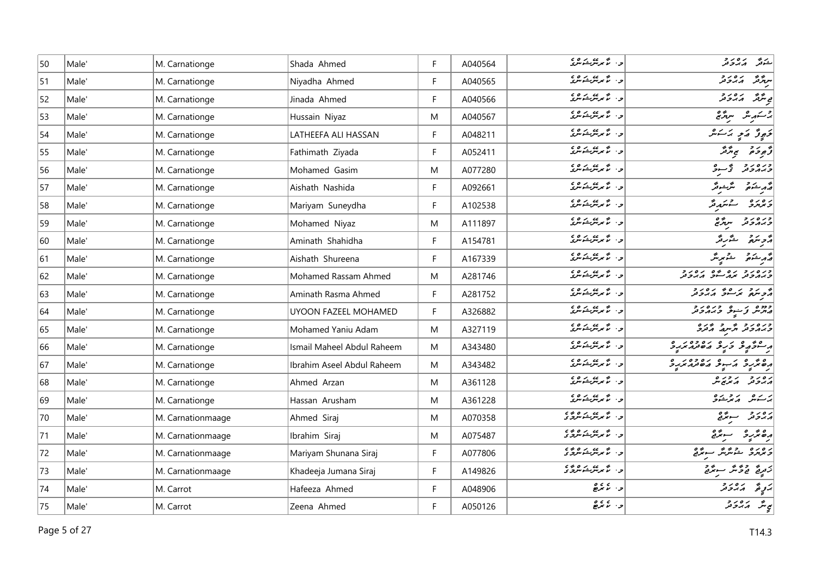| 50 | Male' | M. Carnationge    | Shada Ahmed                | F  | A040564 | و· گەرىكۇشۇمىرى                                              | شەنگر كەركەتل                                   |
|----|-------|-------------------|----------------------------|----|---------|--------------------------------------------------------------|-------------------------------------------------|
| 51 | Male' | M. Carnationge    | Niyadha Ahmed              | F. | A040565 | ى ، ئەگەرىكۇمىسى<br>سىرىگىرىشكەنلىرى                         | سرگرگر مرکز در د                                |
| 52 | Male' | M. Carnationge    | Jinada Ahmed               | F. | A040566 | و · م <sup>ه</sup> برنگزشتوسری                               | بے س <i>رگر مرکز در و</i>                       |
| 53 | Male' | M. Carnationge    | Hussain Niyaz              | M  | A040567 | ى ، ئەگەرىشۇمىرى<br>س                                        | يز سكر مثل المريدنج                             |
| 54 | Male' | M. Carnationge    | LATHEEFA ALI HASSAN        | F  | A048211 | و · مگا پریتن شرک ۵ ؟<br>ح · مگا پریتن شرکت مسرک             | څوړ کې ټکې                                      |
| 55 | Male' | M. Carnationge    | Fathimath Ziyada           | F  | A052411 | ى ، ئەگەرىكەن ھە <sup>ي</sup>                                | قرموخرة بالمراقر                                |
| 56 | Male' | M. Carnationge    | Mohamed Gasim              | M  | A077280 | ى ، ئەگەرىكەن ھە <sup>ي</sup>                                | و ر ه ر د<br>تر بر تر تر<br>ۇ سەۋ               |
| 57 | Male' | M. Carnationge    | Aishath Nashida            | F  | A092661 | ى ، ئەگەرىشۇمىرى<br>س                                        | مُ مرکز مُ سُرُٹ مَر                            |
| 58 | Male' | M. Carnationge    | Mariyam Suneydha           | F. | A102538 | ى ، ئەگەرىكۇمىسى<br>سىرىگىرىشكەنلىرى                         | رەرە ئەير                                       |
| 59 | Male' | M. Carnationge    | Mohamed Niyaz              | M  | A111897 | ى ، ئەگەرىكەن ھە <sup>ي</sup>                                | و ره ر د<br>تر پر ژنر<br>سرگرم                  |
| 60 | Male' | M. Carnationge    | Aminath Shahidha           | F. | A154781 | ى ، ئەگەرىكۇنىڭ بىرى<br>س                                    | د گر سر در مقرر تر                              |
| 61 | Male' | M. Carnationge    | Aishath Shureena           | F  | A167339 | ى ، ئەگەرىشۇمىرى<br>س                                        | ۇرمىشقى ئىشمېرىگر                               |
| 62 | Male' | M. Carnationge    | Mohamed Rassam Ahmed       | M  | A281746 | ى ، ئەگەرىكۇمىسى<br>سىرىگىرىشكەنلىرى                         | כנסנכ נס שם נסנכ<br>כגהכת ההייכ הגכת            |
| 63 | Male' | M. Carnationge    | Aminath Rasma Ahmed        | F  | A281752 | ى ، ئەگەرىشۇمىرى<br>س                                        |                                                 |
| 64 | Male' | M. Carnationge    | UYOON FAZEEL MOHAMED       | F  | A326882 | ى ، ئەگەرىكەن ھە <sup>ي</sup>                                | כמם צ'ייפ כממכת                                 |
| 65 | Male' | M. Carnationge    | Mohamed Yaniu Adam         | M  | A327119 | ى ، ئەگەرىشۇمىرى                                             | כנים ג'ב וקצייקה הבנים<br>בההבינה וקצייקה הבנים |
| 66 | Male' | M. Carnationge    | Ismail Maheel Abdul Raheem | M  | A343480 | ى ، ئەگەرتىشكەنلەرى<br>س                                     | مر عدود و ده موه مديد                           |
| 67 | Male' | M. Carnationge    | Ibrahim Aseel Abdul Raheem | M  | A343482 |                                                              | גם מגיב ה- כ גם מה מגיב                         |
| 68 | Male' | M. Carnationge    | Ahmed Arzan                | M  | A361128 | ى ، ئەگەرىكۇنىڭ بىرى                                         | גפגב גבגם                                       |
| 69 | Male' | M. Carnationge    | Hassan Arusham             | M  | A361228 | و ، ئەس ئىرىشۇمىرى                                           | برسكس مركز شكره                                 |
| 70 | Male' | M. Carnationmaage | Ahmed Siraj                | M  | A070358 | و . گمه برنگ بر ۵ ۶ <sup>ی</sup><br>و . گمه برنگر بشو مربو ی | ره ر و<br>پرېژنو سوبرقع                         |
| 71 | Male' | M. Carnationmaage | Ibrahim Siraj              | M  | A075487 |                                                              | وە ئۆر ئەنگى                                    |
| 72 | Male' | M. Carnationmaage | Mariyam Shunana Siraj      | F  | A077806 | و . گم پرسگورشگور دی.<br>د . گم پرسگور پس پرس                | رەرە دېرىر ب                                    |
| 73 | Male' | M. Carnationmaage | Khadeeja Jumana Siraj      | F  | A149826 | و . گم پرسگورشگور دی.<br>د . گم پرسگور پس پرس                | ئەرىق بى ئەش سومۇمى                             |
| 74 | Male' | M. Carrot         | Hafeeza Ahmed              | F  | A048906 | و . کا ترکھ                                                  | پروگر در پرورو                                  |
| 75 | Male' | M. Carrot         | Zeena Ahmed                | F. | A050126 | و . کا ترکھ                                                  | ىپ ئىش ئەيزەتتى<br>مەنبە ئەيزەتتى               |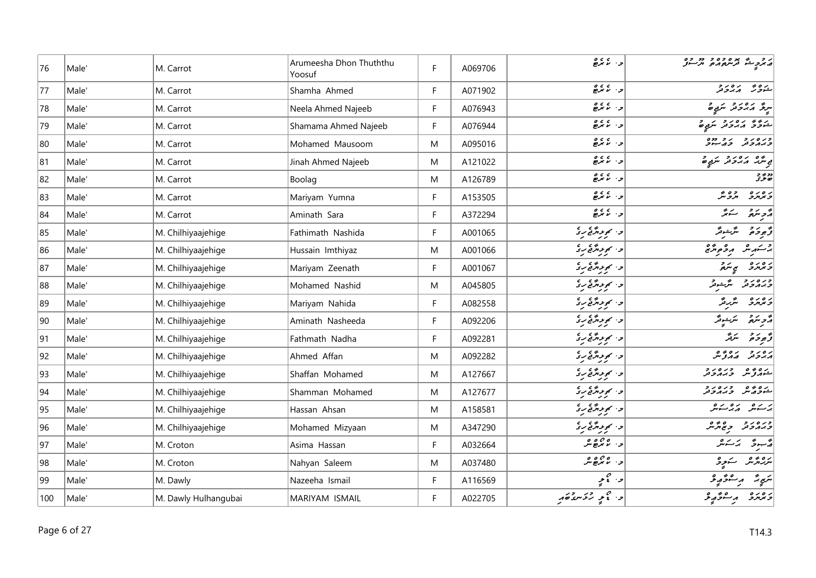| 76  | Male' | M. Carrot            | Arumeesha Dhon Thuththu<br>Yoosuf | F.          | A069706 | و . کامرچ                                    | ر چې شه بره ده ده ده.<br>مرکزې شه ترسمونه و سر |
|-----|-------|----------------------|-----------------------------------|-------------|---------|----------------------------------------------|------------------------------------------------|
| 77  | Male' | M. Carrot            | Shamha Ahmed                      | F           | A071902 | و . کامرچ                                    | شەھ بەرەر                                      |
| 78  | Male' | M. Carrot            | Neela Ahmed Najeeb                | $\mathsf F$ | A076943 | و . ما يرضح                                  | سرقى ئەرەر ئەس سىرتى ھ                         |
| 79  | Male' | M. Carrot            | Shamama Ahmed Najeeb              | $\mathsf F$ | A076944 | و· کامرچ                                     | أشوار والمردوح المرارح والمستورة               |
| 80  | Male' | M. Carrot            | Mohamed Mausoom                   | M           | A095016 | ر ، کو برھ<br>ح                              | כנסג כגי כמי                                   |
| 81  | Male' | M. Carrot            | Jinah Ahmed Najeeb                | M           | A121022 | و . ع نو ه                                   | مِی سَمَّرُ مَدَو مَر مِی صَ                   |
| 82  | Male' | M. Carrot            | Boolag                            | ${\sf M}$   | A126789 | وسيموهي                                      | دو د د<br>ن نو تړ                              |
| 83  | Male' | M. Carrot            | Mariyam Yumna                     | $\mathsf F$ | A153505 | و . ما يگرهج                                 | پرویژ<br>ر ه ر ه<br><del>ر</del> بربر د        |
| 84  | Male' | M. Carrot            | Aminath Sara                      | F           | A372294 | و . کامرچ                                    | سەئىر<br>أرمز تنهج                             |
| 85  | Male' | M. Chilhiyaajehige   | Fathimath Nashida                 | F           | A001065 | <br> - سموعه دگرفتی سری                      | تؤجرخا كالمتشوش                                |
| 86  | Male' | M. Chilhiyaajehige   | Hussain Imthiyaz                  | M           | A001066 | د · نمویورد تقریر ته<br>  د · نمویورد تقریر  | بر سکر مگر مرد و مرگز                          |
| 87  | Male' | M. Chilhiyaajehige   | Mariyam Zeenath                   | F           | A001067 | ه · نمویودگرفته برد<br>- نمویز گر            | د ۱۵ د ص سرچ                                   |
| 88  | Male' | M. Chilhiyaajehige   | Mohamed Nashid                    | M           | A045805 | <br> ح• سموعه دره کار در<br>                 | و ر ه ر د<br>تر پر ژنر<br>سرٌمشوتر             |
| 89  | Male' | M. Chilhiyaajehige   | Mariyam Nahida                    | F.          | A082558 | ه · نمویودگرفته برد<br>- نمویز گر            | ر ه ر ه<br><del>د</del> بربرگ<br>سرٌر ترٌ      |
| 90  | Male' | M. Chilhiyaajehige   | Aminath Nasheeda                  | F           | A092206 | ه · نمو د پژو کرد ؟<br>-                     | أرمز تر<br>سكرشوقكر                            |
| 91  | Male' | M. Chilhiyaajehige   | Fathmath Nadha                    | $\mathsf F$ | A092281 | و · کاری تاهیم کردگا<br>د · کاری تاهیم کردگا | قەدە ئىق                                       |
| 92  | Male' | M. Chilhiyaajehige   | Ahmed Affan                       | M           | A092282 | و · کموبردگار و<br>و · کموبرگار و            | גפניק גפשים                                    |
| 93  | Male' | M. Chilhiyaajehige   | Shaffan Mohamed                   | M           | A127667 | و · نمویو پژوگردگی<br>مرکز مرکز              | ره ده وره رو<br>شهرتی در دول                   |
| 94  | Male' | M. Chilhiyaajehige   | Shamman Mohamed                   | M           | A127677 | و · کاری تاهیم کردگا<br>د · کاری تاهیم کردگا | ره ده وره رو<br>شر <i>وه سر وب</i> روتر        |
| 95  | Male' | M. Chilhiyaajehige   | Hassan Ahsan                      | M           | A158581 | و · کامو پر گار کا<br>و · کامو پر گار کامو   | ىرىكىش كەرگىسى                                 |
| 96  | Male' | M. Chilhiyaajehige   | Mohamed Mizyaan                   | M           | A347290 |                                              | כנים ניפי פיבית.<br>כממכת פיציתית              |
| 97  | Male' | M. Croton            | Asima Hassan                      | F           | A032664 | و، مايرچىر                                   | ۇجۇ ئەسكىر                                     |
| 98  | Male' | M. Croton            | Nahyan Saleem                     | M           | A037480 | و، موھ ھو                                    | رە يەھەر ئىرو                                  |
| 99  | Male' | M. Dawly             | Nazeeha Ismail                    | F           | A116569 | احق عجمج                                     | ە سىۋەپە<br>ىئىي ج                             |
| 100 | Male' | M. Dawly Hulhangubai | MARIYAM ISMAIL                    | F           | A022705 | وبالمجمج ركز مردفقه                          | رەرە بەشگەپى                                   |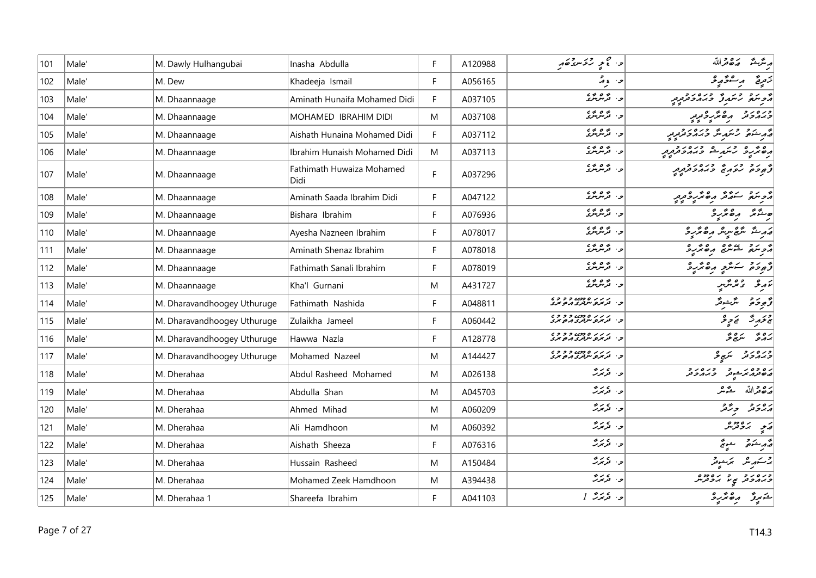| 101 | Male' | M. Dawly Hulhangubai        | Inasha Abdulla                    | F         | A120988 | والأمج ركز مردكار                                  | مرشرت وكافرالله                                    |
|-----|-------|-----------------------------|-----------------------------------|-----------|---------|----------------------------------------------------|----------------------------------------------------|
| 102 | Male' | M. Dew                      | Khadeeja Ismail                   | F         | A056165 | و· بور                                             | تَسِيعٌ مِ سُوَّمٍ وَ                              |
| 103 | Male' | M. Dhaannaage               | Aminath Hunaifa Mohamed Didi      | F         | A037105 | و . قرمرمبری                                       | أأديتم وتتمرؤ وبرورور                              |
| 104 | Male' | M. Dhaannaage               | MOHAMED IBRAHIM DIDI              | M         | A037108 | و . قرمرمبری                                       | ورەرو مەشرەترىر                                    |
| 105 | Male' | M. Dhaannaage               | Aishath Hunaina Mohamed Didi      | F         | A037112 | و . قرمرمبری                                       | أوالمستوهي ومتمر بمراكز والمرور والمحرور والمستوفي |
| 106 | Male' | M. Dhaannaage               | Ibrahim Hunaish Mohamed Didi      | M         | A037113 | و . قرمرمبری                                       | ره بر ده د شمېر شو د بر د د تر تر تر د             |
| 107 | Male' | M. Dhaannaage               | Fathimath Huwaiza Mohamed<br>Didi | F         | A037296 | و٠ قرمرمتری                                        | و د د در و در و در د                               |
| 108 | Male' | M. Dhaannaage               | Aminath Saada Ibrahim Didi        | F         | A047122 | و . قرمرمبری                                       | أأدينه كناكا أوه لايردور                           |
| 109 | Male' | M. Dhaannaage               | Bishara Ibrahim                   | F         | A076936 | و٠ قرمرمبری                                        | مشتر مقدرة                                         |
| 110 | Male' | M. Dhaannaage               | Ayesha Nazneen Ibrahim            | F         | A078017 | و . قرمرمبری                                       | ە ئەستە ئىتى ئېرىش مەھىرىد                         |
| 111 | Male' | M. Dhaannaage               | Aminath Shenaz Ibrahim            | F         | A078018 | و . قرمرمبری                                       | أتر مرد بي بي من مرد                               |
| 112 | Male' | M. Dhaannaage               | Fathimath Sanali Ibrahim          | F         | A078019 | و . قرمرمبری                                       | و و ده خشو ره ژبه                                  |
| 113 | Male' | M. Dhaannaage               | Kha'l Gurnani                     | M         | A431727 | و٠ قرمرمبرّي                                       | عارفه المحمد محمد محمد                             |
| 114 | Male' | M. Dharavandhoogey Uthuruge | Fathimath Nashida                 | F         | A048811 | ر ر ر د ه دده، د د د ه<br>د ۰ تربره سربر د د ه برد | وحجمج وحمح<br>سُرَشدورَّ                           |
| 115 | Male' | M. Dharavandhoogey Uthuruge | Zulaikha Jameel                   | F         | A060442 | ر ر ر د ه دوره د د د ه<br>د ۰ تربرو سرتری بره بری  | چ ئخرىر ش<br>تح تر بحر                             |
| 116 | Male' | M. Dharavandhoogey Uthuruge | Hawwa Nazla                       | F         | A128778 | ر ر ر د ه دوره د د د ه<br>د ۰ تربرو سرتری بره بری  | رەپ سەر                                            |
| 117 | Male' | M. Dharavandhoogey Uthuruge | Mohamed Nazeel                    | M         | A144427 | ر ر ر د ه دده، د د د ه<br>د ۰ تربرو سرتر د مو بر د | ورەرو شھو                                          |
| 118 | Male' | M. Dherahaa                 | Abdul Rasheed Mohamed             | M         | A026138 | و٠ تريزگ                                           | ג 2000 ב 2000 و 2000.<br>הסנג היינג ב הגבע         |
| 119 | Male' | M. Dherahaa                 | Abdulla Shan                      | ${\sf M}$ | A045703 | و . توپوگ                                          | <mark>َ پَرهِ تَرَ</mark> اللّهُ شَرْمَرُ          |
| 120 | Male' | M. Dherahaa                 | Ahmed Mihad                       | ${\sf M}$ | A060209 | و . فريزگ                                          | رەر دىر                                            |
| 121 | Male' | M. Dherahaa                 | Ali Hamdhoon                      | M         | A060392 | و . توپوگ                                          | ړې ده ده ه<br>د په پروترس                          |
| 122 | Male' | M. Dherahaa                 | Aishath Sheeza                    | F         | A076316 | و . توپوگ                                          | فمرشكوه سيتم                                       |
| 123 | Male' | M. Dherahaa                 | Hussain Rasheed                   | M         | A150484 | و . توپوگ                                          | برسكهر مكرجومر                                     |
| 124 | Male' | M. Dherahaa                 | Mohamed Zeek Hamdhoon             | M         | A394438 | و . توپوگ                                          | وره رو در وروه<br>د بروتر یې تر بروترس             |
| 125 | Male' | M. Dherahaa 1               | Shareefa Ibrahim                  | F.        | A041103 | و· قريمرً 1                                        | شەبرۇ رەھمەر                                       |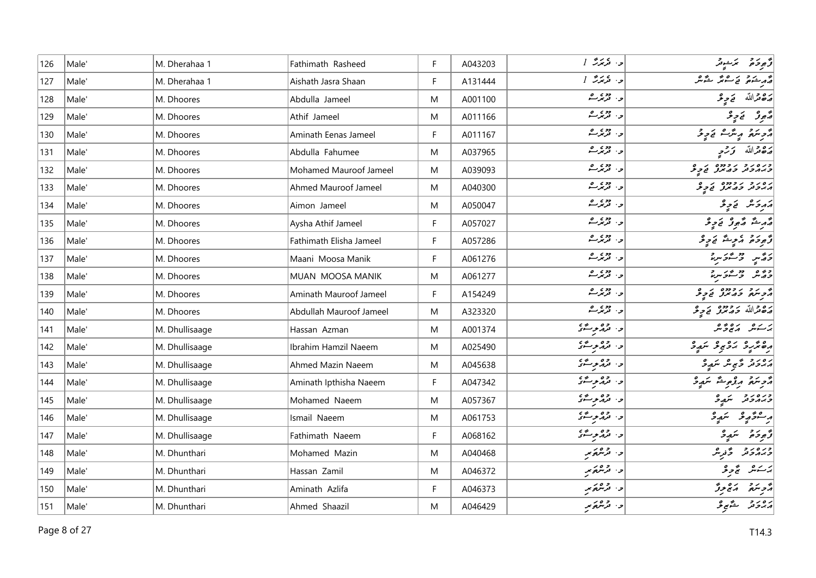| 126 | Male' | M. Dherahaa 1  | Fathimath Rasheed       | F  | A043203 | و· قریمر ٌ 1                      | توجوخوا المرتشوقر                              |
|-----|-------|----------------|-------------------------|----|---------|-----------------------------------|------------------------------------------------|
| 127 | Male' | M. Dherahaa 1  | Aishath Jasra Shaan     | F. | A131444 | و· قریمر ٌ 1                      | م دو ده و شور<br>مرکز شوی نی سویژ شورش         |
| 128 | Male' | M. Dhoores     | Abdulla Jameel          | M  | A001100 | و . دوی ه                         | برە دالله ق د د                                |
| 129 | Male' | M. Dhoores     | Athif Jameel            | M  | A011166 | و . دوي ه                         | أشجو فيحيى                                     |
| 130 | Male' | M. Dhoores     | Aminath Eenas Jameel    | F  | A011167 | و . توپورے                        | أأوسم أرشر فأوفر                               |
| 131 | Male' | M. Dhoores     | Abdulla Fahumee         | M  | A037965 | و . دوی ه                         | پره ترالله ترترچ                               |
| 132 | Male' | M. Dhoores     | Mohamed Mauroof Jameel  | M  | A039093 | و، توپورے                         |                                                |
| 133 | Male' | M. Dhoores     | Ahmed Mauroof Jameel    | M  | A040300 | و، توپورے                         | رور و روده د کرد                               |
| 134 | Male' | M. Dhoores     | Aimon Jameel            | M  | A050047 | و . قریر ک                        | أتهرجش فيحوفه                                  |
| 135 | Male' | M. Dhoores     | Aysha Athif Jameel      | F  | A057027 | و . دوي ه                         | ر .<br><i>مگر</i> شهر در آباد و به در در ایران |
| 136 | Male' | M. Dhoores     | Fathimath Elisha Jameel | F. | A057286 | و . فریز ک                        | توجوجو أوجيش فأجابي                            |
| 137 | Male' | M. Dhoores     | Maani Moosa Manik       | F  | A061276 | د به دور ه<br>د افريز ک           | أرؤس ومشوسره                                   |
| 138 | Male' | M. Dhoores     | MUAN MOOSA MANIK        | M  | A061277 | و . توپورے                        | כלים כביות כ                                   |
| 139 | Male' | M. Dhoores     | Aminath Mauroof Jameel  | F  | A154249 | و . قریر ک                        | أأوسع والمعمر فأولى                            |
| 140 | Male' | M. Dhoores     | Abdullah Mauroof Jameel | M  | A323320 | و . دوي ه                         | ره د الله ځه مرو مر و                          |
| 141 | Male' | M. Dhullisaage | Hassan Azman            | M  | A001374 | <sub>و</sub> . م <i>زه و</i> ستمو | ير سەش مەم ئەش                                 |
| 142 | Male' | M. Dhullisaage | Ibrahim Hamzil Naeem    | M  | A025490 | <sub>و</sub> . م <i>زه و</i> ستمی | رەپرىدى بروبرو بىر                             |
| 143 | Male' | M. Dhullisaage | Ahmed Mazin Naeem       | M  | A045638 | و· قرۇمۇرىمىتى                    | أرور و محمد سكرو المحمد                        |
| 144 | Male' | M. Dhullisaage | Aminath Ipthisha Naeem  | F. | A047342 | و· قرۇمۇرىمىچ                     | أأدجنه وإويش تنهوه                             |
| 145 | Male' | M. Dhullisaage | Mohamed Naeem           | M  | A057367 | و٠ تروگرمر <sup>وي</sup>          | ورەر ئىمەد                                     |
| 146 | Male' | M. Dhullisaage | Ismail Naeem            | M  | A061753 | و٠ تروگورگړي                      | برحتى يؤ سَمِي                                 |
| 147 | Male' | M. Dhullisaage | Fathimath Naeem         | F. | A068162 | و٠ ترو و ريمي                     | وً و دَهِ سَمِهِ وَ                            |
| 148 | Male' | M. Dhunthari   | Mohamed Mazin           | M  | A040468 | د. قرمتهوير                       | ورەرو گۈرىگ                                    |
| 149 | Male' | M. Dhunthari   | Hassan Zamil            | M  | A046372 | د . تر شهر سر                     | برسەنئى ئ <sub>ەتە</sub> بۇ                    |
| 150 | Male' | M. Dhunthari   | Aminath Azlifa          | F. | A046373 | د و تر شهر سر                     | أأزجر سكتم أأتجمح وتحر                         |
| 151 | Male' | M. Dhunthari   | Ahmed Shaazil           | M  | A046429 | و . ترسموس                        | پره پر په پیمې په کا                           |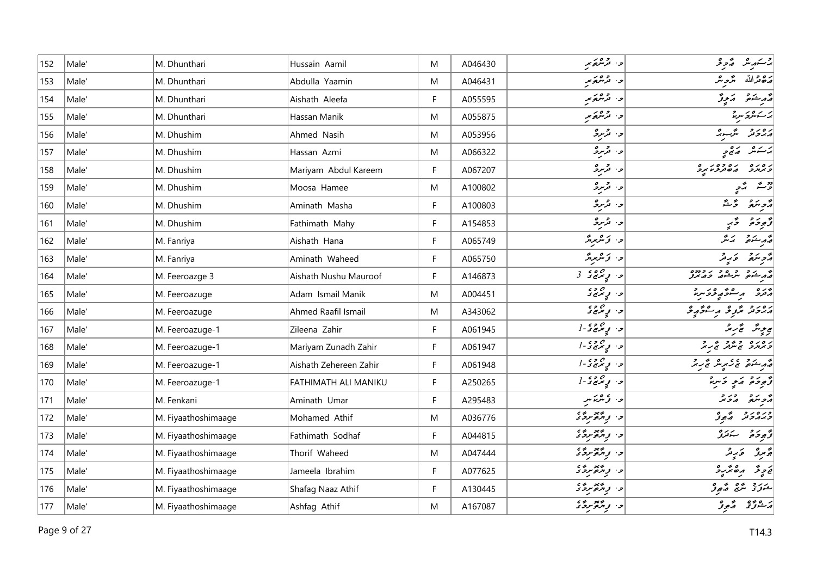| 152 | Male' | M. Dhunthari        | Hussain Aamil          | M         | A046430 | وسترشكوس                     | 2 سەر شەر ئەر                                                                                        |
|-----|-------|---------------------|------------------------|-----------|---------|------------------------------|------------------------------------------------------------------------------------------------------|
| 153 | Male' | M. Dhunthari        | Abdulla Yaamin         | M         | A046431 | و . ترسمبر بر                | <mark>بر22</mark> الله<br>وگرمر شر                                                                   |
| 154 | Male' | M. Dhunthari        | Aishath Aleefa         | F         | A055595 | و . قر شهر مر                | مەركىسى ئامرىق                                                                                       |
| 155 | Male' | M. Dhunthari        | Hassan Manik           | M         | A055875 | - قرمهوس                     | بر کے ملزمہ سربر                                                                                     |
| 156 | Male' | M. Dhushim          | Ahmed Nasih            | M         | A053956 | د . ترګرد                    | ىتزىبىدىر<br>ر ه ر د<br>م.رو تر                                                                      |
| 157 | Male' | M. Dhushim          | Hassan Azmi            | M         | A066322 | د . قرمرد ٌ                  | پرستمبر اړیځ پر                                                                                      |
| 158 | Male' | M. Dhushim          | Mariyam Abdul Kareem   | F         | A067207 | د . ترګرو                    | ג סגם גם פסג פ                                                                                       |
| 159 | Male' | M. Dhushim          | Moosa Hamee            | ${\sf M}$ | A100802 | د . تر برد                   | وحث الجمع                                                                                            |
| 160 | Male' | M. Dhushim          | Aminath Masha          | F         | A100803 | د· قرىرد                     | أأدرسهم أواحد                                                                                        |
| 161 | Male' | M. Dhushim          | Fathimath Mahy         | F         | A154853 | د· قرمرد <sub>گ</sub>        | ا تو بر در<br>ا<br>رمحي                                                                              |
| 162 | Male' | M. Fanriya          | Aishath Hana           | F         | A065749 | د. ئۇشىرىگە                  | و مر شو د<br>مر                                                                                      |
| 163 | Male' | M. Fanriya          | Aminath Waheed         | F         | A065750 | د. ئەشمەر                    | أأدحر المتمريح                                                                                       |
| 164 | Male' | M. Feeroazge 3      | Aishath Nushu Mauroof  | F         | A146873 | 3.3329.5                     |                                                                                                      |
| 165 | Male' | M. Feeroazuge       | Adam Ismail Manik      | M         | A004451 | و . و پرې د ،<br>و . و پرې د | ړو ره د څوړو سره                                                                                     |
| 166 | Male' | M. Feeroazuge       | Ahmed Raafil Ismail    | M         | A343062 | و. پېژبې د                   | ړ د د ټرو و مشو کړو                                                                                  |
| 167 | Male' | M. Feeroazuge-1     | Zileena Zahir          | F         | A061945 | د . پېژبنۍ ځ- ا              | پر موسّد گمچ سر مگر                                                                                  |
| 168 | Male' | M. Feeroazuge-1     | Mariyam Zunadh Zahir   | F         | A061947 | $1 - 2$ و ، و پرې د $\sim$   | رەرە دەۋر تەر                                                                                        |
| 169 | Male' | M. Feeroazuge-1     | Aishath Zehereen Zahir | F         | A061948 | د په موجودي -[               | و ديدو بي مار د د د کار د د                                                                          |
| 170 | Male' | M. Feeroazuge-1     | FATHIMATH ALI MANIKU   | F         | A250265 | $1 - 229$ و. و پرېږي د       | و بالمحر و به المحامل المحمد المحمد المحمد بالمحمد المحمد بالمحمد المحمد المحمد المحمد المحمد المحمد |
| 171 | Male' | M. Fenkani          | Aminath Umar           | F         | A295483 | - ئۇيۇرىئەس <sub>ىر</sub>    | ړ ده ده ده                                                                                           |
| 172 | Male' | M. Fiyaathoshimaage | Mohamed Athif          | M         | A036776 | و و پرتوروی                  | وره رو و و                                                                                           |
| 173 | Male' | M. Fiyaathoshimaage | Fathimath Sodhaf       | F         | A044815 | و و پرتوبرد و ،              | ژ <sub>نجو</sub> ځو سورزه                                                                            |
| 174 | Male' | M. Fiyaathoshimaage | Thorif Waheed          | M         | A047444 | و و پرتوبرد و ،              | ې <sub>چ مو</sub> ر <sub>ځ مړ</sub> يز                                                               |
| 175 | Male' | M. Fiyaathoshimaage | Jameela Ibrahim        | F         | A077625 | د· و پژونرونو                | في في في المستقبل المستقبل                                                                           |
| 176 | Male' | M. Fiyaathoshimaage | Shafag Naaz Athif      | F         | A130445 | د و پژونروی                  | أَخْتَرَىٰ مِنْ مُنْهَجْ وَ                                                                          |
| 177 | Male' | M. Fiyaathoshimaage | Ashfag Athif           | ${\sf M}$ | A167087 | د . پ <sub>ر پ</sub> ر پروتر | برعوقو مجموفر                                                                                        |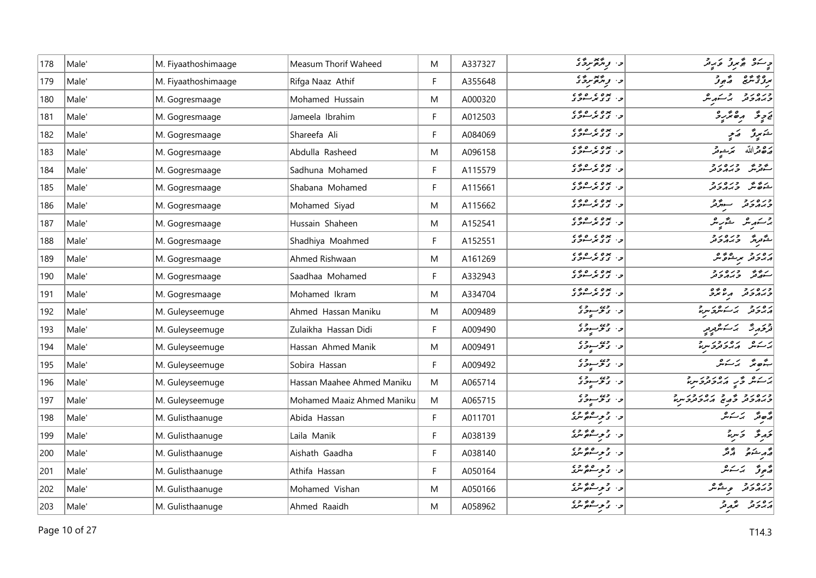| 178 | Male' | M. Fiyaathoshimaage | Measum Thorif Waheed       | M         | A337327 | د· و پژونرو دی                      | ويسكوه المجمرة المحارية           |
|-----|-------|---------------------|----------------------------|-----------|---------|-------------------------------------|-----------------------------------|
| 179 | Male' | M. Fiyaathoshimaage | Rifga Naaz Athif           | F.        | A355648 | د· و پژونرونی                       | بروتمته مهوز                      |
| 180 | Male' | M. Gogresmaage      | Mohamed Hussain            | M         | A000320 | بره ده ده ده<br>و۰ د د بر سور       | ورەرو ويهر                        |
| 181 | Male' | M. Gogresmaage      | Jameela Ibrahim            | F         | A012503 | پره ده وي.<br>د کرکر سوری           | ە ھەترىر ۋ<br>  تع تحٍ تَحْر      |
| 182 | Male' | M. Gogresmaage      | Shareefa Ali               | F         | A084069 | پره ده وي.<br>و۰ د د پرسود د        | شکیرڈ کامی                        |
| 183 | Male' | M. Gogresmaage      | Abdulla Rasheed            | M         | A096158 | پره ده وي.<br>د کرکر سرگر           | أرة قرالله تمتحيد                 |
| 184 | Male' | M. Gogresmaage      | Sadhuna Mohamed            | F         | A115579 | پره پره دي.<br>د کرکر سرد ک         | مەدەر <i>درەر</i> د               |
| 185 | Male' | M. Gogresmaage      | Shabana Mohamed            | F         | A115661 | بر ده ده ده د د و                   | أشكاه بمدارد                      |
| 186 | Male' | M. Gogresmaage      | Mohamed Siyad              | M         | A115662 | بر ده ده ده د د و                   | כנסנפ היית<br><i>כג</i> ונכת היות |
| 187 | Male' | M. Gogresmaage      | Hussain Shaheen            | M         | A152541 | پره ده وي.<br>د کارگر سوری          | ج سے مریش شیم سین میں<br> -<br> - |
| 188 | Male' | M. Gogresmaage      | Shadhiya Moahmed           | F         | A152551 | پره پره دي.<br>د کرکر سرگر          | شگرمرگر وبره رو                   |
| 189 | Male' | M. Gogresmaage      | Ahmed Rishwaan             | M         | A161269 | پره ده وي.<br>د کارگر سوری          | رەرو برىشۇش                       |
| 190 | Male' | M. Gogresmaage      | Saadhaa Mohamed            | F         | A332943 | پره ده وي.<br>د کارگر سوری          | سەر دىرە رو                       |
| 191 | Male' | M. Gogresmaage      | Mohamed Ikram              | M         | A334704 | بره ده و ده<br>د کرکر سوری          | כנסנג השיתב                       |
| 192 | Male' | M. Guleyseemuge     | Ahmed Hassan Maniku        | ${\sf M}$ | A009489 | وسيحوشون                            | גפגב ג' היותב יינו                |
| 193 | Male' | M. Guleyseemuge     | Zulaikha Hassan Didi       | F         | A009490 | و به وي وي<br>و کانورو              | فرخير تخريج بمسكومير وير          |
| 194 | Male' | M. Guleyseemuge     | Hassan Ahmed Manik         | M         | A009491 | و٠ ويوسوو و٢<br>و٠ وتؤسوو و         | ير کره در در در در                |
| 195 | Male' | M. Guleyseemuge     | Sobira Hassan              | F         | A009492 | و، ويوسوو،<br>و، وتوسوو،            | بثعثر بزخش                        |
| 196 | Male' | M. Guleyseemuge     | Hassan Maahee Ahmed Maniku | M         | A065714 | و ، و محور و ،<br>  و ، و توسعو و ، | يُسكس وَّرٍ إيراد وروسره          |
| 197 | Male' | M. Guleyseemuge     | Mohamed Maaiz Ahmed Maniku | M         | A065715 | د . وي . و ،<br> و . د توسيو د      | כמחכת כאמי המכתכתי                |
| 198 | Male' | M. Gulisthaanuge    | Abida Hassan               | F         | A011701 | و . و و ره و و ،                    | ړُّے پَرَ کور                     |
| 199 | Male' | M. Gulisthaanuge    | Laila Manik                | F         | A038139 | ه کور شوره                          | كحدق كالرم                        |
| 200 | Male' | M. Gulisthaanuge    | Aishath Gaadha             | F         | A038140 | و <sub>`</sub> و وسفوسمد            | مەرىشىمى ئەقر                     |
| 201 | Male' | M. Gulisthaanuge    | Athifa Hassan              | F         | A050164 | و و مه و ،<br>و و موسوم             | ړ پر پر شکس                       |
| 202 | Male' | M. Gulisthaanuge    | Mohamed Vishan             | M         | A050166 | و٠ وګور شوه سره                     | ورەرو ھڪس                         |
| 203 | Male' | M. Gulisthaanuge    | Ahmed Raaidh               | M         | A058962 | و . و و و و و و و و                 | رەر ئەر                           |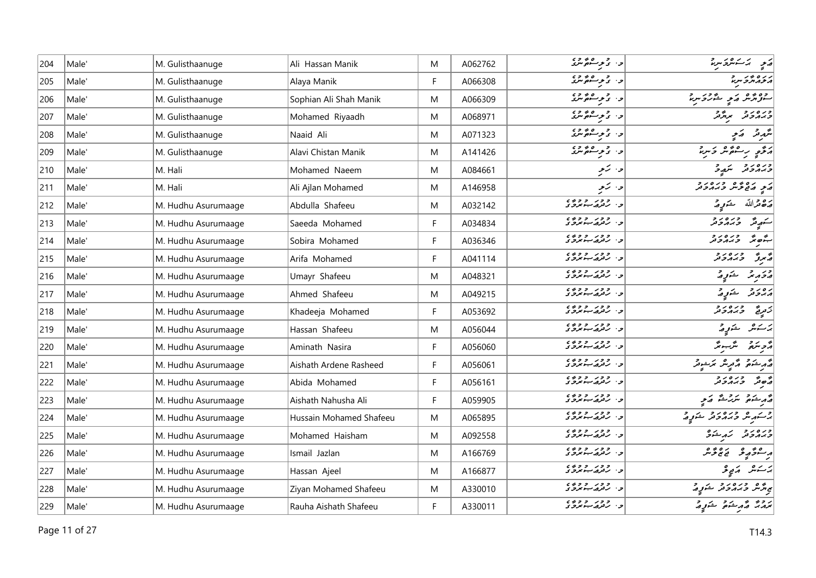| 204 | Male' | M. Gulisthaanuge    | Ali Hassan Manik        | M | A062762 | و . و و مرو و ،<br>و . و موسوم سرو   | ב הלייתובית                             |
|-----|-------|---------------------|-------------------------|---|---------|--------------------------------------|-----------------------------------------|
| 205 | Male' | M. Gulisthaanuge    | Alaya Manik             | F | A066308 | و . و و موسوء و ،                    | بر ره و ر په د                          |
| 206 | Male' | M. Gulisthaanuge    | Sophian Ali Shah Manik  | M | A066309 | و٠ وگوستموس                          |                                         |
| 207 | Male' | M. Gulisthaanuge    | Mohamed Riyaadh         | M | A068971 | و . و و و و و و و و و                | כנסנכ תיב<br>כגונכת תוצת                |
| 208 | Male' | M. Gulisthaanuge    | Naaid Ali               | M | A071323 | و و و وه و و و و و                   | شمرش وكمبر                              |
| 209 | Male' | M. Gulisthaanuge    | Alavi Chistan Manik     | M | A141426 | و . و و و و و و و و و                | أرو رئيو د ور                           |
| 210 | Male' | M. Hali             | Mohamed Naeem           | M | A084661 | وسمترو                               | בגםגב תגב                               |
| 211 | Male' | M. Hali             | Ali Ajlan Mohamed       | M | A146958 | و- ترو                               | د ده ده وره دو                          |
| 212 | Male' | M. Hudhu Asurumaage | Abdulla Shafeeu         | M | A032142 | و د در د ده د<br>و گروه سوپرو د      | ح صحرالله خورج                          |
| 213 | Male' | M. Hudhu Asurumaage | Saeeda Mohamed          | F | A034834 | و د در ووه و<br>و گلوهاسوپوری        | شهره دره د و                            |
| 214 | Male' | M. Hudhu Asurumaage | Sobira Mohamed          | F | A036346 | و د ور و و ده و<br>و . رتوړ سونورۍ   | سەھ ئىر<br>و ره ر د<br>تر پر ژمر        |
| 215 | Male' | M. Hudhu Asurumaage | Arifa Mohamed           | F | A041114 | و و در و و ده د<br>و ۱ رتوړ سوبرو ی  | و ره ر د<br><i>و بر</i> و تر<br>ومجموقر |
| 216 | Male' | M. Hudhu Asurumaage | Umayr Shafeeu           | M | A048321 | و و در و و ده و<br>و . رکزه سوپرو ی  | جۇ ئەر ئىكتى ئەر ج                      |
| 217 | Male' | M. Hudhu Asurumaage | Ahmed Shafeeu           | M | A049215 | و و در و و ده د<br>و ۱ رتوړ سوبرو ی  | دەر د سكوپەر                            |
| 218 | Male' | M. Hudhu Asurumaage | Khadeeja Mohamed        | F | A053692 | و و در و و ده و<br>و ۱ رتور سومرو ی  | كزمرقح وبرودور                          |
| 219 | Male' | M. Hudhu Asurumaage | Hassan Shafeeu          | M | A056044 | و و در و و ده د<br>و ۱ رتوړ سوبرو د  | پرستہ شورتہ                             |
| 220 | Male' | M. Hudhu Asurumaage | Aminath Nasira          | F | A056060 | و و در و و ده د<br>و . رتوه سوپرو د  | مُ حِسَرَةٌ سُرْجِعَهُ                  |
| 221 | Male' | M. Hudhu Asurumaage | Aishath Ardene Rasheed  | F | A056061 | و د در و وه و<br>و . رتوړ سوبرو و    | أقمر مشكر أقريب تكرمون                  |
| 222 | Male' | M. Hudhu Asurumaage | Abida Mohamed           | F | A056161 | و و در و و ده د<br>و ۱ رتوړ سوبرو ی  | أشهر وره دو                             |
| 223 | Male' | M. Hudhu Asurumaage | Aishath Nahusha Ali     | F | A059905 | و و در و و ده د<br>و ۱ مرکزمانسونورو | مەر خىق سىرلىشى مەج                     |
| 224 | Male' | M. Hudhu Asurumaage | Hussain Mohamed Shafeeu | M | A065895 | و و در و و ده و<br>و . رکوه سوپورۍ   | و مسره وره دو شوره                      |
| 225 | Male' | M. Hudhu Asurumaage | Mohamed Haisham         | M | A092558 | و و در و و ده و<br>و ۱ رتور سومرو ی  | ورەرو ئەبنو                             |
| 226 | Male' | M. Hudhu Asurumaage | Ismail Jazlan           | M | A166769 | و د در د ده د<br>و گروه سوپرو د      | ر مۇرپۇ يىمۇش                           |
| 227 | Male' | M. Hudhu Asurumaage | Hassan Ajeel            | M | A166877 | و د در ووه و<br>و گلاه سوپروی        | پرسترس اړیږ و.                          |
| 228 | Male' | M. Hudhu Asurumaage | Ziyan Mohamed Shafeeu   | M | A330010 | و و و ر و و و ی<br>و ۰ رتورب بدیوی   | ې گرىگ دى. دى دى ئور                    |
| 229 | Male' | M. Hudhu Asurumaage | Rauha Aishath Shafeeu   | F | A330011 | و و در و و ده و<br>و . رتوړ جوړو ی   | بروه المراسكرو الشورالا                 |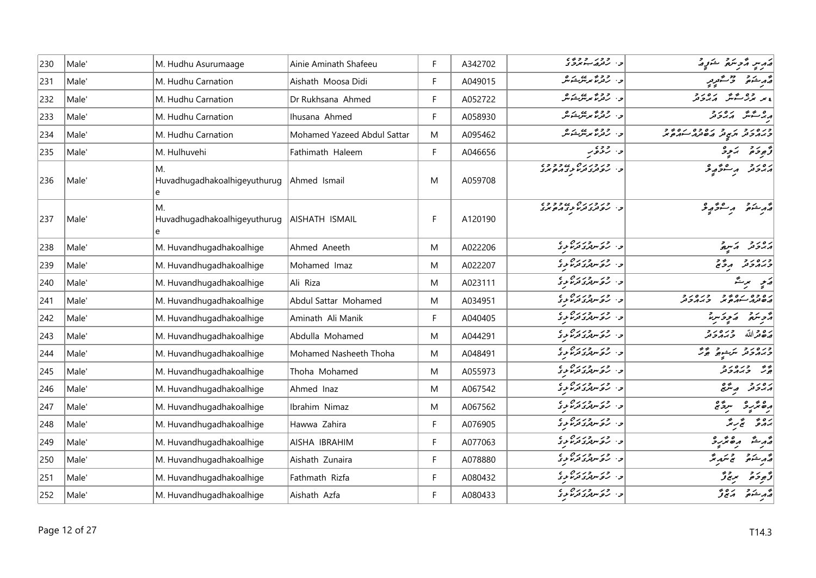| 230 | Male' | M. Hudhu Asurumaage                 | Ainie Aminath Shafeeu       | F           | A342702 | و د در و وه و<br>و . رتوړ سوبرو و                           | مكرس كمرسكة المكرورة                              |
|-----|-------|-------------------------------------|-----------------------------|-------------|---------|-------------------------------------------------------------|---------------------------------------------------|
| 231 | Male' | M. Hudhu Carnation                  | Aishath Moosa Didi          | F           | A049015 | و . روده برنتوسکرد .<br>و . رود برنتوسکر                    | ر<br>په شکو و شورتر<br>په شکو و                   |
| 232 | Male' | M. Hudhu Carnation                  | Dr Rukhsana Ahmed           | F           | A052722 | و بەردە ئەتەرى<br>بەر بەلەر ئەتەرىشەنل                      | دىر بررى ئەش بەر بەر د                            |
| 233 | Male' | M. Hudhu Carnation                  | Ihusana Ahmed               | F           | A058930 | و . روده برنتوسکرد .<br>و . رود برنتوسکر                    | مەرشىقىتى مەردىر                                  |
| 234 | Male' | M. Hudhu Carnation                  | Mohamed Yazeed Abdul Sattar | M           | A095462 | و به اروپه برنک <sub>ش</sub> مش کلی<br>سرانس کلی موسود کلیک | 2007 - 2007 - 2007 - 2007<br>במחכת תשת הסתח - הסת |
| 235 | Male' | M. Hulhuvehi                        | Fathimath Haleem            | F           | A046656 | وسيمروني                                                    | ۇۋەقق بەددە                                       |
| 236 | Male' | MM.<br>Huvadhugadhakoalhigeyuthurug | Ahmed Ismail                | M           | A059708 | ور ور در 0 به وو و c<br>و· رونږي تر <i>y نړۍ دره پرې</i>    | رەر دەپرو                                         |
| 237 | Male' | M.<br>Huvadhugadhakoalhigeyuthurug  | <b>AISHATH ISMAIL</b>       | F           | A120190 | و د و د ر د ۵<br>و ۰ کوترۍ تر <i>۷ لا</i> ی <i>۸ و بر</i> ۍ | و ديدو م شوگه د                                   |
| 238 | Male' | M. Huvandhugadhakoalhige            | Ahmed Aneeth                | M           | A022206 | و . د حرک در د د د ه<br>و . مرگو سرپرو ترما بو د            | بروترو<br>مرسرة                                   |
| 239 | Male' | M. Huvandhugadhakoalhige            | Mohamed Imaz                | M           | A022207 | و . گوگس در ده د .<br>و . گوگس در در تر تا بو د             | כנסנב בב<br>בגרבת רבב                             |
| 240 | Male' | M. Huvandhugadhakoalhige            | Ali Riza                    | M           | A023111 | و . حرم معرور و<br>و . مرمح سرپر <sub>ک</sub> ور در د ی     | ړَم مرتّ                                          |
| 241 | Male' | M. Huvandhugadhakoalhige            | Abdul Sattar Mohamed        | M           | A034951 | و . گوگس در ده د .<br>و . گوگس در در تر تا بو د             | ג ם כם גם 4 כ כ ב כ ב ב<br>ג ס ב ג ג ה ב ג ג ב ב  |
| 242 | Male' | M. Huvandhugadhakoalhige            | Aminath Ali Manik           | $\mathsf F$ | A040405 | و . حرم معرور و<br>و . مرمح سرپر <sub>ک</sub> ور در د ی     | أأوسكم أأكم وكالمراثر                             |
| 243 | Male' | M. Huvandhugadhakoalhige            | Abdulla Mohamed             | M           | A044291 | و . گوگس در ده د .<br>و . گوگس در در تر تا بو د             | و ر ه ر و<br><i>و پر</i> و تر<br>برە تراللە       |
| 244 | Male' | M. Huvandhugadhakoalhige            | Mohamed Nasheeth Thoha      | M           | A048491 | و د مرکز دره د و<br>و . مرکز سرهرو توریم نو و               | ورەرو برڪوچ ۾ ح                                   |
| 245 | Male' | M. Huvandhugadhakoalhige            | Thoha Mohamed               | M           | A055973 |                                                             | په دره د د                                        |
| 246 | Male' | M. Huvandhugadhakoalhige            | Ahmed Inaz                  | M           | A067542 | و د کره ور د ۵<br>و گره سرهری تعریم نوی                     | پروژنر<br>ەر سرچ                                  |
| 247 | Male' | M. Huvandhugadhakoalhige            | Ibrahim Nimaz               | M           | A067562 |                                                             | ە ھەترىر <sup>ى</sup><br>س<br>سردسم               |
| 248 | Male' | M. Huvandhugadhakoalhige            | Hawwa Zahira                | F           | A076905 |                                                             | رە پە<br>ىتى سەتتىر                               |
| 249 | Male' | M. Huvandhugadhakoalhige            | <b>AISHA IBRAHIM</b>        | F           | A077063 | و . حرم معرور و<br>و . مرمح سرپر <sub>ک</sub> ور در د ی     | دە ئەرج<br>رژمەشە                                 |
| 250 | Male' | M. Huvandhugadhakoalhige            | Aishath Zunaira             | F           | A078880 |                                                             | تح سرّمہ مگر<br>ور مشرح<br>مرکز مشترک             |
| 251 | Male' | M. Huvandhugadhakoalhige            | Fathmath Rizfa              | F           | A080432 | و٠ رو سربره و د و م<br>و٠ رو سربرو ترما بو و                | وٌجوحهُ<br>ىرىخ تۇ                                |
| 252 | Male' | M. Huvandhugadhakoalhiqe            | Aishath Azfa                | F           | A080433 | و . د حرک در د د د ه<br>و . مرگو سرپرو ترما بو د            | د.<br>مگر شوی مره و                               |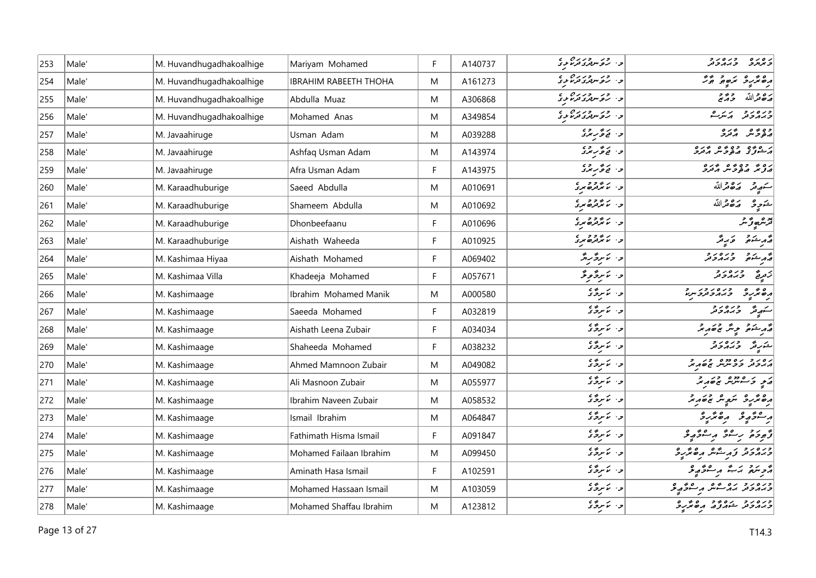| 253 | Male' | M. Huvandhugadhakoalhige | Mariyam Mohamed              | F | A140737 | و٠ رقمهٔ سروره و و و و د و د و د و د ا             | و رە ر د<br><i>د بر</i> گرىز<br>ر ه ر ه<br><del>ر</del> بربر ژ |
|-----|-------|--------------------------|------------------------------|---|---------|----------------------------------------------------|----------------------------------------------------------------|
| 254 | Male' | M. Huvandhugadhakoalhige | <b>IBRAHIM RABEETH THOHA</b> | M | A161273 | و . حرک دوره .<br>و . مرکز سهری ترما بوی           | برَه ۾ چُر<br>ە ھەتترىر 2                                      |
| 255 | Male' | M. Huvandhugadhakoalhige | Abdulla Muaz                 | M | A306868 | و٠ رقم سربره و و و و و و<br>و٠ رقم سربری تعریم نوی | ەھەتراللە<br>5 ش 7<br>حرار س                                   |
| 256 | Male' | M. Huvandhugadhakoalhige | Mohamed Anas                 | M | A349854 | و . گوگورو تر ده .<br>و . گوگوری تر دارد .         | و ره ر د<br>تر پر تر تر                                        |
| 257 | Male' | M. Javaahiruge           | Usman Adam                   | M | A039288 | و· قع گرمریمری<br>د اقع گرمریمری                   | وەپ ئەرە                                                       |
| 258 | Male' | M. Javaahiruge           | Ashfaq Usman Adam            | M | A143974 | و به نوگروه<br>و نوگرمرد                           | ر ەم ەم دەم ئەرە<br>مۇسۇق مەمۇرىس مەرد                         |
| 259 | Male' | M. Javaahiruge           | Afra Usman Adam              | F | A143975 | و· قع گرمرندگی<br>و· قع گرمرندگی                   | גם זי כם זים זיגם<br>ג'ני ג'ים ביית הנקב                       |
| 260 | Male' | M. Karaadhuburige        | Saeed Abdulla                | M | A010691 | و . کامرفره مرد<br>و . کامرفره مرد                 | <i>ڪوپٽر ڪ</i> ھترالله                                         |
| 261 | Male' | M. Karaadhuburige        | Shameem Abdulla              | M | A010692 |                                                    | شكورة<br>صقعرالله                                              |
| 262 | Male' | M. Karaadhuburige        | Dhonbeefaanu                 | F | A010696 | و . کا تروره مرد<br>و . کا تروره مرد               | بر <sub>م</sub> ر <sub>ھو</sub> ڙ <sub>مر</sub>                |
| 263 | Male' | M. Karaadhuburige        | Aishath Waheeda              | F | A010925 | و . کا تروح مر <sub>ک</sub>                        | وكرم شكوته وكرفر                                               |
| 264 | Male' | M. Kashimaa Hiyaa        | Aishath Mohamed              | F | A069402 | ە ، ئابرۇرى <i>گە</i>                              | و ر ه ر و<br><i>و ټ</i> رو تر<br>و مر در د<br>مرگه مسنومی      |
| 265 | Male' | M. Kashimaa Villa        | Khadeeja Mohamed             | F | A057671 | د· ئابردگورگر                                      | تزىرقى<br>و ره ر د<br>تر پر تر تر                              |
| 266 | Male' | M. Kashimaage            | Ibrahim Mohamed Manik        | M | A000580 | وستمبردمى                                          | גם בנגב בגגבנבית י                                             |
| 267 | Male' | M. Kashimaage            | Saeeda Mohamed               | F | A032819 | و کما برونی<br>و کما برونی                         | سكهاند وبره داد                                                |
| 268 | Male' | M. Kashimaage            | Aishath Leena Zubair         | F | A034034 | وستم مردحى                                         | وأرشكم وبتر بمفرنز                                             |
| 269 | Male' | M. Kashimaage            | Shaheeda Mohamed             | F | A038232 | وسمكم وليمي                                        | أخرير ورودو                                                    |
| 270 | Male' | M. Kashimaage            | Ahmed Mamnoon Zubair         | M | A049082 | د . م <i>أمردد</i> گی<br>ر                         | גפגב גם מם כגב.<br>הגבת ככיתית הסתית                           |
| 271 | Male' | M. Kashimaage            | Ali Masnoon Zubair           | M | A055977 | وستما مرومى                                        | ג׳ת ב' בייתית הסתיב                                            |
| 272 | Male' | M. Kashimaage            | Ibrahim Naveen Zubair        | M | A058532 | وستم مردمى                                         | رەڭرىر ئىستوپىر جەمەت                                          |
| 273 | Male' | M. Kashimaage            | Ismail Ibrahim               | M | A064847 | وسمكم وليمي                                        | ر عۇرو رەئرىر                                                  |
| 274 | Male' | M. Kashimaage            | Fathimath Hisma Ismail       | F | A091847 | و کما برونی<br>و کما برونی                         | ۋە ئەڭ رىشۇ مەسۇم ئو                                           |
| 275 | Male' | M. Kashimaage            | Mohamed Failaan Ibrahim      | M | A099450 | وسمكم وليمي                                        | ورەرد زېرىشىر برەتزرو                                          |
| 276 | Male' | M. Kashimaage            | Aminath Hasa Ismail          | F | A102591 | و· ئەبردى                                          | ړٌ پر پر په پر عرم کو                                          |
| 277 | Male' | M. Kashimaage            | Mohamed Hassaan Ismail       | M | A103059 | و· ئەبردى                                          | דנים גדי גם יום הפיקים.<br>במהכת מה ביות הפיקים                |
| 278 | Male' | M. Kashimaage            | Mohamed Shaffau Ibrahim      | M | A123812 | وسمكم مركزى                                        | ورەر دەر دەۋد مەھرىر                                           |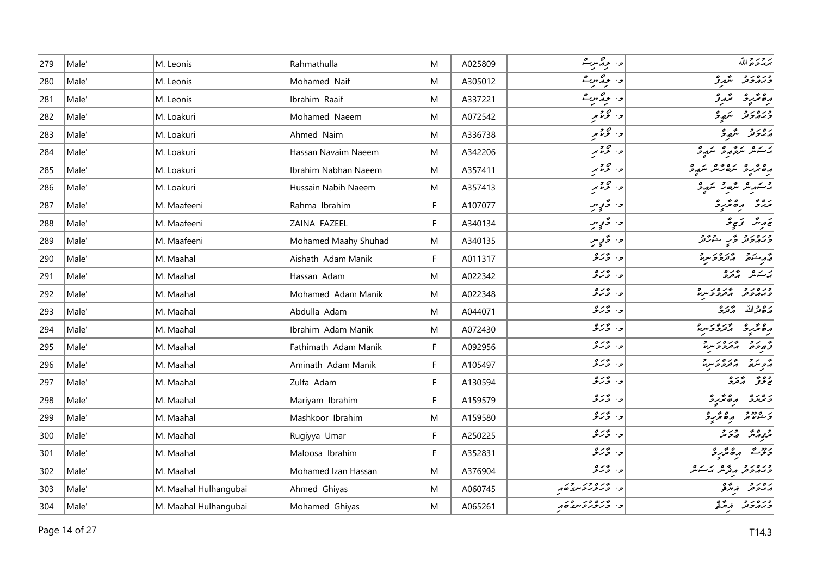| 279 | Male' | M. Leonis             | Rahmathulla          | M  | A025809 | د. وړېږگ                | بروبر والله                                                                                                                                                                                                                     |
|-----|-------|-----------------------|----------------------|----|---------|-------------------------|---------------------------------------------------------------------------------------------------------------------------------------------------------------------------------------------------------------------------------|
| 280 | Male' | M. Leonis             | Mohamed Naif         | M  | A305012 | د. دېمبرگ               | و ر ٥ ر و<br>تر پر تر تر<br>سمەر                                                                                                                                                                                                |
| 281 | Male' | M. Leonis             | Ibrahim Raaif        | M  | A337221 | د وړسره                 | بترمر ومح<br>ەر ھەترىر <i>3</i>                                                                                                                                                                                                 |
| 282 | Male' | M. Loakuri            | Mohamed Naeem        | M  | A072542 | ه . د کامبر             | ورەر دىرە                                                                                                                                                                                                                       |
| 283 | Male' | M. Loakuri            | Ahmed Naim           | M  | A336738 | د . څونومو              | أرەر ئەشھەر                                                                                                                                                                                                                     |
| 284 | Male' | M. Loakuri            | Hassan Navaim Naeem  | M  | A342206 | <sub>ج</sub> . عجمامبر  | يُرْسَمْرُ سَهْرِهِ سَمِرٍ وَ                                                                                                                                                                                                   |
| 285 | Male' | M. Loakuri            | Ibrahim Nabhan Naeem | M  | A357411 | وسيحتمير                | 0 1010 1010 1010                                                                                                                                                                                                                |
| 286 | Male' | M. Loakuri            | Hussain Nabih Naeem  | M  | A357413 | د <sub>:</sub> عجمانمبر | بر كشر مر مركز من مركز من مركز المركز براير براير براير براير براير براير براير براير براير براير براير براير<br>مركز براير براير براير براير براير براير براير براير براير براير براير براير براير براير براير براير براير برا |
| 287 | Male' | M. Maafeeni           | Rahma Ibrahim        | F  | A107077 | -<br> د· دُوبير         |                                                                                                                                                                                                                                 |
| 288 | Male' | M. Maafeeni           | ZAINA FAZEEL         | F  | A340134 | ا <sup>و،</sup> وُوِسِ  | ىجەرىتر كەنپى قە                                                                                                                                                                                                                |
| 289 | Male' | M. Maafeeni           | Mohamed Maahy Shuhad | M  | A340135 | د· دگ <sup>و</sup> یس   |                                                                                                                                                                                                                                 |
| 290 | Male' | M. Maahal             | Aishath Adam Manik   | F. | A011317 | د گرگ                   | بو در در در د<br>اورشنامی ارترون سرد                                                                                                                                                                                            |
| 291 | Male' | M. Maahal             | Hassan Adam          | M  | A022342 | وستخرجى                 | ير کے مگر مگر ترکی                                                                                                                                                                                                              |
| 292 | Male' | M. Maahal             | Mohamed Adam Manik   | M  | A022348 | د گرگ                   | כנסנכ שנסנים<br>כממכת התככתית                                                                                                                                                                                                   |
| 293 | Male' | M. Maahal             | Abdulla Adam         | M  | A044071 | د گرگ                   | مَدْهِ مِّرْ اللَّهُ مَرْ مَرْدِ                                                                                                                                                                                                |
| 294 | Male' | M. Maahal             | Ibrahim Adam Manik   | M  | A072430 | و . وٌرُوْ              | <b>תפיציב הצקבציקי</b>                                                                                                                                                                                                          |
| 295 | Male' | M. Maahal             | Fathimath Adam Manik | F  | A092956 | وستخرجى                 | و دو وره در د                                                                                                                                                                                                                   |
| 296 | Male' | M. Maahal             | Aminath Adam Manik   | F  | A105497 | د گرگ                   | ړ ځې په د<br>و ده د سره                                                                                                                                                                                                         |
| 297 | Male' | M. Maahal             | Zulfa Adam           | F  | A130594 | والمحركز فخر            | وه و.<br>پر نوگر<br>پور ہ<br>مرکز ژ                                                                                                                                                                                             |
| 298 | Male' | M. Maahal             | Mariyam Ibrahim      | F. | A159579 | و . وٌرَوْ              | ە ھەترىرى<br>ر ه ر ه<br><del>ر</del> بربر د                                                                                                                                                                                     |
| 299 | Male' | M. Maahal             | Mashkoor Ibrahim     | M  | A159580 | و . وٌرُوْ              | ב בחיני הפיתיב                                                                                                                                                                                                                  |
| 300 | Male' | M. Maahal             | Rugiyya Umar         | F  | A250225 | وستخرجى                 | - 22 2021<br>  23 2022                                                                                                                                                                                                          |
| 301 | Male' | M. Maahal             | Maloosa Ibrahim      | F  | A352831 | و . وٌرُوْ              | ودوع مرەممرىرو                                                                                                                                                                                                                  |
| 302 | Male' | M. Maahal             | Mohamed Izan Hassan  | M  | A376904 | وسمجركر فحر             | ورەرو مۆگە ئەسەر                                                                                                                                                                                                                |
| 303 | Male' | M. Maahal Hulhangubai | Ahmed Ghiyas         | M  | A060745 | - 27000 000             | برەر ئەرگە                                                                                                                                                                                                                      |
| 304 | Male' | M. Maahal Hulhangubai | Mohamed Ghiyas       | M  | A065261 | وستحر وتر وسيده مر      | ورەر د پرو                                                                                                                                                                                                                      |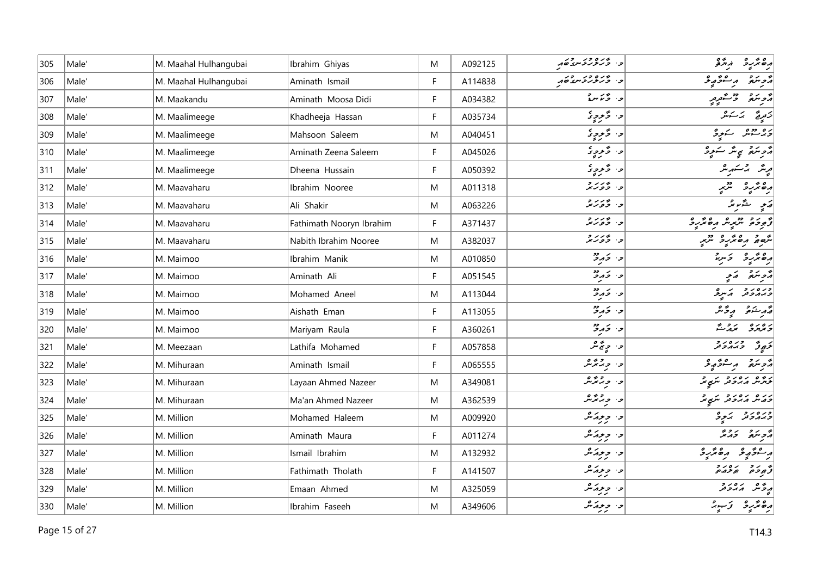| و ورود وسرد م<br>A092125<br>305<br>Male'<br>M. Maahal Hulhangubai<br>Ibrahim Ghiyas<br>M<br>و . و د و و د سره م<br>306<br>Male'<br>M. Maahal Hulhangubai<br>Aminath Ismail<br>F.<br>A114838<br>وستحمأ مبردح<br>307<br>Aminath Moosa Didi<br>F<br>A034382<br>Male'<br>M. Maakandu<br> و. وَووِدَ<br>Male'<br>F<br>A035734<br>308<br>M. Maalimeege<br>Khadheeja Hassan<br>و· وٌووٍوُ<br>309<br>Male'<br>M. Maalimeege<br>Mahsoon Saleem<br>M<br>A040451<br>Aminath Zeena Saleem<br>F<br>Male'<br>M. Maalimeege<br>A045026<br>310 | أأوسكم والمتوارق<br>سيمبر<br>ترگ <sub>فريو</sub><br>أثر حريحهم |
|--------------------------------------------------------------------------------------------------------------------------------------------------------------------------------------------------------------------------------------------------------------------------------------------------------------------------------------------------------------------------------------------------------------------------------------------------------------------------------------------------------------------------------|----------------------------------------------------------------|
|                                                                                                                                                                                                                                                                                                                                                                                                                                                                                                                                |                                                                |
|                                                                                                                                                                                                                                                                                                                                                                                                                                                                                                                                |                                                                |
|                                                                                                                                                                                                                                                                                                                                                                                                                                                                                                                                |                                                                |
|                                                                                                                                                                                                                                                                                                                                                                                                                                                                                                                                | ترىرىچ - بەسەئىر                                               |
|                                                                                                                                                                                                                                                                                                                                                                                                                                                                                                                                | دە دەھ سەرە                                                    |
|                                                                                                                                                                                                                                                                                                                                                                                                                                                                                                                                | ړٌ د سره په سر سکو د                                           |
| د· گروپری<br>د· گروپری<br>Male'<br>Dheena Hussain<br>F<br>A050392<br>311<br>M. Maalimeege                                                                                                                                                                                                                                                                                                                                                                                                                                      | امریٹر برے ہر مگر<br>مح                                        |
| وسيحوث پو<br>A011318<br>312<br>Male'<br>M. Maavaharu<br>Ibrahim Nooree<br>M                                                                                                                                                                                                                                                                                                                                                                                                                                                    | ە ھەترىرى<br>س<br>لتربير                                       |
| وسيحوث تر<br>313<br>Male'<br>Ali Shakir<br>A063226<br>M. Maavaharu<br>M                                                                                                                                                                                                                                                                                                                                                                                                                                                        | أرشح المشاريخه                                                 |
| وسيحوث تر<br>Fathimath Nooryn Ibrahim<br>F<br>A371437<br>314<br>Male'<br>M. Maavaharu                                                                                                                                                                                                                                                                                                                                                                                                                                          | רובנים ייתייל תסתיים                                           |
| وسيحرم ترو<br>Male'<br>315<br>M. Maavaharu<br>Nabith Ibrahim Nooree<br>A382037<br>M                                                                                                                                                                                                                                                                                                                                                                                                                                            |                                                                |
| والمتحمدة<br>A010850<br>Male'<br>M. Maimoo<br>Ibrahim Manik<br>M<br>316                                                                                                                                                                                                                                                                                                                                                                                                                                                        | ە ھەترىرى<br>بر ھەترىرى<br>ى سرىر                              |
| בי <sub>1975</sub><br>M. Maimoo<br>Aminath Ali<br>F<br>Male'<br>A051545<br>317                                                                                                                                                                                                                                                                                                                                                                                                                                                 | أأدمته أأو                                                     |
| בי <del>ב</del> 'נדבר<br>ת<br>Male'<br>Mohamed Aneel<br>A113044<br>318<br>M. Maimoo<br>M                                                                                                                                                                                                                                                                                                                                                                                                                                       | ورەرو كەيدۇ                                                    |
| בי <sub>1975</sub><br>Aishath Eman<br>F<br>Male'<br>M. Maimoo<br>A113055<br>319                                                                                                                                                                                                                                                                                                                                                                                                                                                | أشهر شوقه ويتحاشر                                              |
| כי <i>בֿ</i> ו <i>ב</i> ?<br>320<br>Male'<br>Mariyam Raula<br>F<br>A360261<br>M. Maimoo                                                                                                                                                                                                                                                                                                                                                                                                                                        | ره ره ديگر                                                     |
| د. دیچىر<br>Lathifa Mohamed<br>F<br>A057858<br>321<br>Male'<br>M. Meezaan                                                                                                                                                                                                                                                                                                                                                                                                                                                      | كجمورٌ وبره رو                                                 |
| د به دیگر<br>Male'<br>F<br>322<br>M. Mihuraan<br>Aminath Ismail<br>A065555                                                                                                                                                                                                                                                                                                                                                                                                                                                     | ومحر المسترور والمحرور ومحر                                    |
| اد. دېږې<br>پ<br>Male'<br>M. Mihuraan<br>A349081<br>323<br>Layaan Ahmed Nazeer<br>M                                                                                                                                                                                                                                                                                                                                                                                                                                            | روه رورد<br>در مدونه شي                                        |
| د . د بر ټر ټر<br>324<br>Male'<br>M. Mihuraan<br>Ma'an Ahmed Nazeer<br>A362539<br>M                                                                                                                                                                                                                                                                                                                                                                                                                                            | כגים גם גם תואים ב                                             |
| اد ۱۰ د د د کمک<br>325<br>Male'<br>M. Million<br>Mohamed Haleem<br>M<br>A009920                                                                                                                                                                                                                                                                                                                                                                                                                                                | ورەر دىرو                                                      |
| Male'<br>Aminath Maura<br>F<br>A011274<br>326<br>M. Million                                                                                                                                                                                                                                                                                                                                                                                                                                                                    | أأزجه سرويمه                                                   |
| 327<br>Male'<br>M. Million<br>A132932<br>Ismail Ibrahim<br>M                                                                                                                                                                                                                                                                                                                                                                                                                                                                   | ر عرور و موسیع                                                 |
| او، ووړتیو<br><u>ست</u><br>F<br>A141507<br>328<br>Male'<br>M. Million<br>Fathimath Tholath                                                                                                                                                                                                                                                                                                                                                                                                                                     | 2101 2199                                                      |
| 329<br>Male'<br>M. Million<br>A325059<br>Emaan Ahmed<br>M                                                                                                                                                                                                                                                                                                                                                                                                                                                                      | رځ شه پره د د                                                  |
| اه . د دېم ش<br>330<br>Male'<br>Ibrahim Faseeh<br>A349606<br>M. Million<br>M                                                                                                                                                                                                                                                                                                                                                                                                                                                   | أرەپر بولىد                                                    |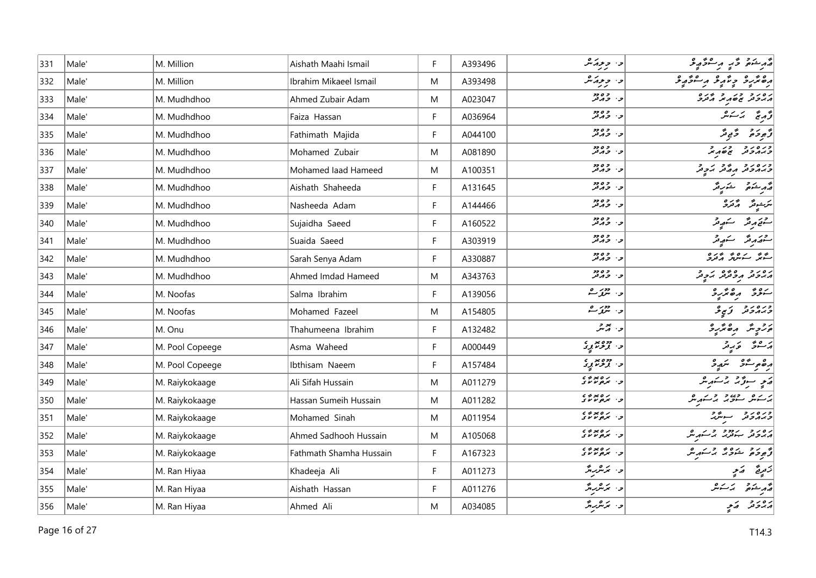| 331 | Male' | M. Million      | Aishath Maahi Ismail    | F         | A393496 | ور د درگم                                    | ړ ر شکو څه ر شو وی                                            |
|-----|-------|-----------------|-------------------------|-----------|---------|----------------------------------------------|---------------------------------------------------------------|
| 332 | Male' | M. Million      | Ibrahim Mikaeel Ismail  | M         | A393498 | د· د دېر مثر                                 |                                                               |
| 333 | Male' | M. Mudhdhoo     | Ahmed Zubair Adam       | ${\sf M}$ | A023047 | و و ودو<br>و و د تر                          | גפיני בנית בינים                                              |
| 334 | Male' | M. Mudhdhoo     | Faiza Hassan            | F         | A036964 | و ، وه دو<br>و ، وړتر                        | ۇرىج برىكىر                                                   |
| 335 | Male' | M. Mudhdhoo     | Fathimath Majida        | F         | A044100 | و ه ودو<br>و ا ترا <i>د</i> تر               | تزودة وتحوم                                                   |
| 336 | Male' | M. Mudhdhoo     | Mohamed Zubair          | M         | A081890 | وه وه<br>و· وړتر                             | כנסנכ כנגל                                                    |
| 337 | Male' | M. Mudhdhoo     | Mohamed laad Hameed     | ${\sf M}$ | A100351 | כי כמיק<br>כי כמיק                           | כגמכת תמצ גבת                                                 |
| 338 | Male' | M. Mudhdhoo     | Aishath Shaheeda        | F         | A131645 | כי כמינ<br>כי כמינ                           | ة مرشكة الشري <del>د</del><br>أمام الشكر<br>أمر شريدة المركزة |
| 339 | Male' | M. Mudhdhoo     | Nasheeda Adam           | F         | A144466 | وه وه دو<br>و ار ورگر                        |                                                               |
| 340 | Male' | M. Mudhdhoo     | Sujaidha Saeed          | F         | A160522 | و ، وه دو<br>و ، وړتر                        | ستقهر متر متعرفه                                              |
| 341 | Male' | M. Mudhdhoo     | Suaida Saeed            | F         | A303919 | وه وده<br>و· وړتر                            | سىمەمىش سىمەمى                                                |
| 342 | Male' | M. Mudhdhoo     | Sarah Senya Adam        | F         | A330887 | و ه ودو<br>و ا و د تر                        | ر ده دره دره                                                  |
| 343 | Male' | M. Mudhdhoo     | Ahmed Imdad Hameed      | M         | A343763 | כי כמיק<br>כי כמיק                           | גפני גריני גביל                                               |
| 344 | Male' | M. Noofas       | Salma Ibrahim           | F         | A139056 | ىر، ئىترىگ                                   | سودة مصريرة                                                   |
| 345 | Male' | M. Noofas       | Mohamed Fazeel          | M         | A154805 | حەسى تەرىب                                   | ورەرو تەپى                                                    |
| 346 | Male' | M. Onu          | Thahumeena Ibrahim      | F         | A132482 | ح به مجمعگر                                  |                                                               |
| 347 | Male' | M. Pool Copeege | Asma Waheed             | F         | A000449 | د. دوه بر پا<br>د گرمرس پ <sub>ر</sub> ی     | ړ ه پېڅنه له د په د                                           |
| 348 | Male' | M. Pool Copeege | Ibthisam Naeem          | F         | A157484 | د. دوه بد پر<br>د بر دیرب <sub>ی</sub>       | وهو ده شده                                                    |
| 349 | Male' | M. Raiykokaage  | Ali Sifah Hussain       | M         | A011279 | $\frac{c\frac{c}{c} \times c}{c}$ .          | ەر سۆز ئەسەر                                                  |
| 350 | Male' | M. Raiykokaage  | Hassan Sumeih Hussain   | M         | A011282 | ה הסמטים<br>כי מסמטים                        | ير ياه روياج المريكر                                          |
| 351 | Male' | M. Raiykokaage  | Mohamed Sinah           | M         | A011954 | $\frac{1}{2}$ $\frac{1}{2}$                  | وره رو سورس                                                   |
| 352 | Male' | M. Raiykokaage  | Ahmed Sadhooh Hussain   | ${\sf M}$ | A105068 | 54801                                        | رەرو روود ور                                                  |
| 353 | Male' | M. Raiykokaage  | Fathmath Shamha Hussain | F         | A167323 | ג ס <i>אי</i> ב ז'<br>כ' ז <i>נ</i> פ מ מ ז' | وتجوحهم خوجة بالتوره                                          |
| 354 | Male' | M. Ran Hiyaa    | Khadeeja Ali            | F         | A011273 | د· ئەنگرىدىگە                                | تزمرقے الاکم                                                  |
| 355 | Male' | M. Ran Hiyaa    | Aishath Hassan          | F         | A011276 | د . ئ <i>ۈشرەڭ</i>                           | ۇرىشقى ئەسكىل                                                 |
| 356 | Male' | M. Ran Hiyaa    | Ahmed Ali               | ${\sf M}$ | A034085 | و- ئۈشۈر بۇ                                  | پروژو کرم                                                     |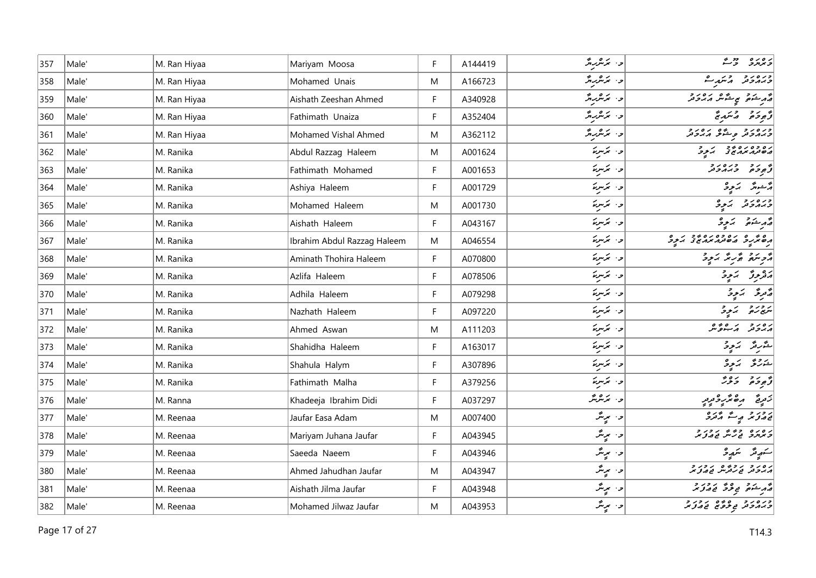| 357 | Male' | M. Ran Hiyaa | Mariyam Moosa               | F           | A144419 | <sub>و</sub> ، ئەنگەردىگە | رەرە دور                               |
|-----|-------|--------------|-----------------------------|-------------|---------|---------------------------|----------------------------------------|
| 358 | Male' | M. Ran Hiyaa | Mohamed Unais               | M           | A166723 |                           | ورەرو ومهدر                            |
| 359 | Male' | M. Ran Hiyaa | Aishath Zeeshan Ahmed       | F           | A340928 | د . برگرېر گر             |                                        |
| 360 | Male' | M. Ran Hiyaa | Fathimath Unaiza            | F           | A352404 | و برگرمر                  | وجوحتم وتنمدتم                         |
| 361 | Male' | M. Ran Hiyaa | Mohamed Vishal Ahmed        | M           | A362112 | د· ئەنگرىدىگە             | وره رو در دورو در در د                 |
| 362 | Male' | M. Ranika    | Abdul Razzag Haleem         | M           | A001624 | والمحميرية                | ג 2010 בפי הבירה                       |
| 363 | Male' | M. Ranika    | Fathimath Mohamed           | F           | A001653 | د . ترس <i>رین</i> ا      | و ده دره در                            |
| 364 | Male' | M. Ranika    | Ashiya Haleem               | $\mathsf F$ | A001729 | و- ترسرتا                 | أأراد أأستر أيتجر                      |
| 365 | Male' | M. Ranika    | Mohamed Haleem              | M           | A001730 | و- ترسريمًا               | ورەرو رو                               |
| 366 | Male' | M. Ranika    | Aishath Haleem              | $\mathsf F$ | A043167 | وستميزية                  | ړ د شمې کرونې                          |
| 367 | Male' | M. Ranika    | Ibrahim Abdul Razzag Haleem | M           | A046554 | وسيميزية                  | 0 1 240102010 10<br>ROXXX ROURNABE XLE |
| 368 | Male' | M. Ranika    | Aminath Thohira Haleem      | F           | A070800 | وستماسية                  | ومجالبهم ومحر بمالح ومحرورهم           |
| 369 | Male' | M. Ranika    | Azlifa Haleem               | F.          | A078506 | وستماسية                  |                                        |
| 370 | Male' | M. Ranika    | Adhila Haleem               | F           | A079298 | د . ترس <i>ری</i> هٔ      | رەپرۇ ئېچەدى<br>مەنگەرگە ئېچەدى        |
| 371 | Male' | M. Ranika    | Nazhath Haleem              | F           | A097220 | د . ترس <i>رین</i> ا      | برور و بر دو                           |
| 372 | Male' | M. Ranika    | Ahmed Aswan                 | M           | A111203 | ە . ئۈس <i>رىئ</i>        | رەرد رەپەە<br>مەردىر مەجوش             |
| 373 | Male' | M. Ranika    | Shahidha Haleem             | F           | A163017 | والمحاسرة                 | شَرِيرٌ يَهْدِهِ                       |
| 374 | Male' | M. Ranika    | Shahula Halym               | F.          | A307896 | د . ترس <i>رنا</i> ً      | لشروعي أيربوه                          |
| 375 | Male' | M. Ranika    | Fathimath Malha             | F           | A379256 | <br> ح• سميرية            | وَجوحَه حَرْثَ                         |
| 376 | Male' | M. Ranna     | Khadeeja Ibrahim Didi       | F           | A037297 | ى بە ئەرەر<br>سىر ئىرىنىش | زېږمځ مره تر روبر<br>د کېږم کې د د و   |
| 377 | Male' | M. Reenaa    | Jaufar Easa Adam            | M           | A007400 | ار. بریڈ<br>——            | ر ور و مرگ وره<br>محمدتو پر مشتر مرکز  |
| 378 | Male' | M. Reenaa    | Mariyam Juhana Jaufar       | $\mathsf F$ | A043945 | او. بریٹر<br>——           |                                        |
| 379 | Male' | M. Reenaa    | Saeeda Naeem                | F           | A043946 | او. بریٹر<br>——           | سَمَدٍ مَدْ سَمَدٍ وَ                  |
| 380 | Male' | M. Reenaa    | Ahmed Jahudhan Jaufar       | M           | A043947 | ار. بریڈ<br>نے            | נפני ניכשים ניכנים<br>הגבת ביתית בהציג |
| 381 | Male' | M. Reenaa    | Aishath Jilma Jaufar        | $\mathsf F$ | A043948 | ار. بریٹر<br>——           | ومرشكم ولحرق وكالأمر                   |
| 382 | Male' | M. Reenaa    | Mohamed Jilwaz Jaufar       | M           | A043953 | اچ پېرىتقى<br>__ ئ        | ورەر د پورې رور د<br>دېرمرد توگوي تومر |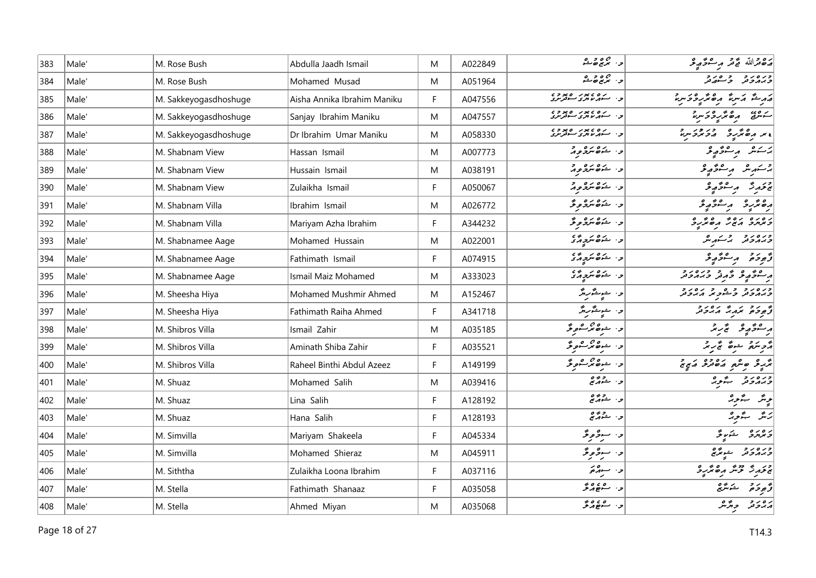| 383 | Male' | M. Rose Bush          | Abdulla Jaadh Ismail        | M  | A022849 | د . مورد ه شو                                     | أرَهْ قَرْاللَّهُ ۖ قَرَقَرَ مِنْ مُتَحَرِّمٍ فَرَ          |
|-----|-------|-----------------------|-----------------------------|----|---------|---------------------------------------------------|-------------------------------------------------------------|
| 384 | Male' | M. Rose Bush          | Mohamed Musad               | M  | A051964 | ه ده ه ده و.<br>د ۰ مربع ه شر                     | כנסנכ כסנכ<br><i>כג</i> ובט, כ-יו <i>ג</i> ע                |
| 385 | Male' | M. Sakkeyogasdhoshuge | Aisha Annika Ibrahim Maniku | F  | A047556 | د ه د د د د د د د د د د<br>د ۱ ستور بور د ستوربرد | مَدِيشٌ مَسِرٌ مِنْ مُدِّرِدْدَ سِرٌ                        |
| 386 | Male' | M. Sakkeyogasdhoshuge | Sanjay Ibrahim Maniku       | M  | A047557 | د ه د د د د د د د د د د<br>د ۱ سوپر د بر د سوترس  | ם <i>שית כ</i> ל ייני<br>سەمەتى                             |
| 387 | Male' | M. Sakkeyogasdhoshuge | Dr Ibrahim Umar Maniku      | M  | A058330 | د د ه د د د ه د د د د<br>د ۱۰ سور د برو سوترس     | כן כן הק<br>נג'ב זג'ב ייגע<br>٤ بر مر <i>ه بز</i> رد        |
| 388 | Male' | M. Shabnam View       | Hassan Ismail               | M  | A007773 | و. شوه سرو و د                                    | برسكش ماسترقام و                                            |
| 389 | Male' | M. Shabnam View       | Hussain Ismail              | M  | A038191 | و. ځوه سرو و د                                    | يزخير شراء وسفوقهوفر                                        |
| 390 | Male' | M. Shabnam View       | Zulaikha Ismail             | F  | A050067 | و. شوه سرو و د                                    | ى سەئۇم بۇ<br>تح ځرمر تَرُ                                  |
| 391 | Male' | M. Shabnam Villa      | Ibrahim Ismail              | M  | A026772 | د. خۇھ ئىرۋو ئ                                    | رەترىر رىشۇربۇ                                              |
| 392 | Male' | M. Shabnam Villa      | Mariyam Azha Ibrahim        | F. | A344232 | و٠ شەھ سرو ئۆگە                                   | גם גם גם ה הם הביקב                                         |
| 393 | Male' | M. Shabnamee Aage     | Mohamed Hussain             | M  | A022001 | و شکھ سرچ مرکز<br>و                               | ورەرو ويەر                                                  |
| 394 | Male' | M. Shabnamee Aage     | Fathimath Ismail            | F. | A074915 | و شکھ سرچ مرکز<br>و                               | ژُودَهُ پرَ دُوُرٍ د                                        |
| 395 | Male' | M. Shabnamee Aage     | Ismail Maiz Mohamed         | M  | A333023 | و شوه مرد دی                                      | ر صۇم بۇ ئەر دىرەرد<br>م                                    |
| 396 | Male' | M. Sheesha Hiya       | Mohamed Mushmir Ahmed       | M  | A152467 | ى ئىيگەرل <sup>ى</sup> ر<br>ئ                     | כנסגב כ-ס-כ-גם בין<br><i>כה</i> וכנ <sub>י</sub> כ-פיד והכנ |
| 397 | Male' | M. Sheesha Hiya       | Fathimath Raiha Ahmed       | F  | A341718 | ى سىيىش <i>گرى</i> گر                             | وتجوده بمدر مددد                                            |
| 398 | Male' | M. Shibros Villa      | Ismail Zahir                | M  | A035185 | و٠ سەھ ترىشمو ئۇ                                  | و شۇھۇ ئىمىد                                                |
| 399 | Male' | M. Shibros Villa      | Aminath Shiba Zahir         | F  | A035521 | و. جەھ ترگىمو ئۇ                                  | ومجر سكوه ستجر محر مرتكز                                    |
| 400 | Male' | M. Shibros Villa      | Raheel Binthi Abdul Azeez   | F  | A149199 | د خو <i>ه برگورځ</i><br>پ                         | ټربری صر <sub>مو</sub> مصر د مړي                            |
| 401 | Male' | M. Shuaz              | Mohamed Salih               | M  | A039416 | و . ڪرڻ ج                                         | ورەرو ئور                                                   |
| 402 | Male' | M. Shuaz              | Lina Salih                  | F  | A128192 | و . ڪرڻ ج                                         | اريگر گروچر                                                 |
| 403 | Male' | M. Shuaz              | Hana Salih                  | F  | A128193 | و. شەھ ج                                          | رَ شَرْ رَ مَبْرَ وَ رَ                                     |
| 404 | Male' | M. Simvilla           | Mariyam Shakeela            | F  | A045334 | ر. سوۋ <sub>ىۋ</sub> ۇ                            | ر ه ر ه<br>د بربرد<br>شەر ئە                                |
| 405 | Male' | M. Simvilla           | Mohamed Shieraz             | M  | A045911 | د· سرد و دٌ                                       | ورەرو شەرىج                                                 |
| 406 | Male' | M. Siththa            | Zulaikha Loona Ibrahim      | F  | A037116 | و· سەھى                                           | برمریز ویژ ره بزره                                          |
| 407 | Male' | M. Stella             | Fathimath Shanaaz           | F. | A035058 | ر. ڪوهرنژ                                         | و په پر د                                                   |
| 408 | Male' | M. Stella             | Ahmed Miyan                 | M  | A035068 | د. ڪوهرگر                                         | ره ر د ور<br>م.رو تر و درگر                                 |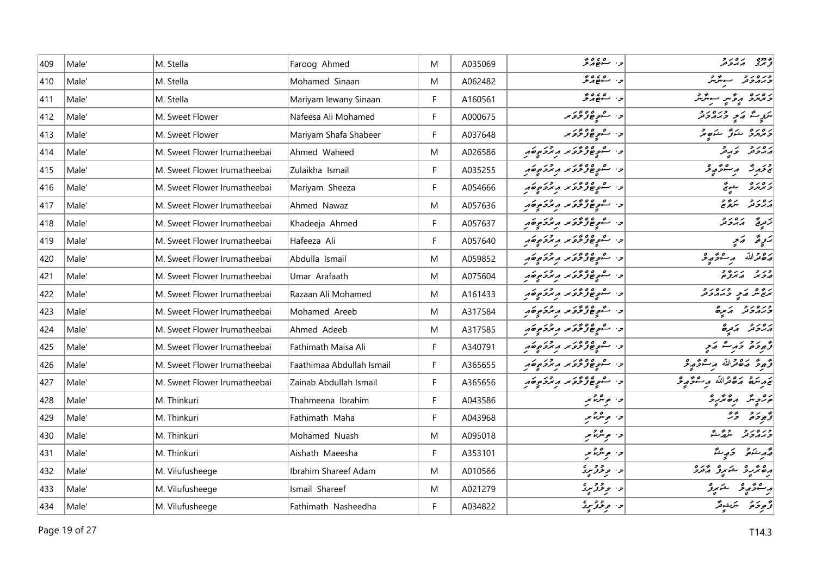| 409 | Male' | M. Stella                    | Faroog Ahmed              | M           | A035069 | د . سوه پرو                                      | و دوه در در د<br>افریق در کار              |
|-----|-------|------------------------------|---------------------------|-------------|---------|--------------------------------------------------|--------------------------------------------|
| 410 | Male' | M. Stella                    | Mohamed Sinaan            | M           | A062482 | د . سوه پرو                                      | ورەرو سەرگە                                |
| 411 | Male' | M. Stella                    | Mariyam lewany Sinaan     | $\mathsf F$ | A160561 | و، سۇھەتۇ                                        | ويمهزه رؤس سترس                            |
| 412 | Male' | M. Sweet Flower              | Nafeesa Ali Mohamed       | F           | A000675 | د . سوءٍ و و ژو <sub>ک</sub> ر                   | شريء " " و " و " و " و " و " و " و         |
| 413 | Male' | M. Sweet Flower              | Mariyam Shafa Shabeer     | F           | A037648 | د . سوءٍ و ژو <i>ک</i> وبر                       | رەرو خىر خومى                              |
| 414 | Male' | M. Sweet Flower Irumatheebai | Ahmed Waheed              | M           | A026586 | وسنوع وتزوير متزدوعه                             | رەر ئەر                                    |
| 415 | Male' | M. Sweet Flower Irumatheebai | Zulaikha Ismail           | F           | A035255 | وسنوه ووبريد متركز وكار                          | پر خبر شاه می شود کردید                    |
| 416 | Male' | M. Sweet Flower Irumatheebai | Mariyam Sheeza            | F           | A054666 | و سوه وولاد متروم وه.                            | ئەتەر ۋ<br>سنويح                           |
| 417 | Male' | M. Sweet Flower Irumatheebai | Ahmed Nawaz               | M           | A057636 | و و عوج و دور مر در دوه د                        | بر 2 د حر<br>م <i>ر</i> کر 5 مر<br>سره و   |
| 418 | Male' | M. Sweet Flower Irumatheebai | Khadeeja Ahmed            | F           | A057637 | د و مشوع و څو پر پر چې په پر                     | برەرىر<br> ترموقح                          |
| 419 | Male' | M. Sweet Flower Irumatheebai | Hafeeza Ali               | F           | A057640 | و شوه ووځوند منځه وه.                            | برَوٍ لَا اللَّهِ إِلَيْ                   |
| 420 | Male' | M. Sweet Flower Irumatheebai | Abdulla Ismail            | M           | A059852 | وسنوه ووور متركبونوم                             | برە تراللە<br>ەرسەۋەپەي                    |
| 421 | Male' | M. Sweet Flower Irumatheebai | Umar Arafaath             | M           | A075604 | و . سوء ووير بر برو و ه بر                       | ورو ديروو                                  |
| 422 | Male' | M. Sweet Flower Irumatheebai | Razaan Ali Mohamed        | ${\sf M}$   | A161433 | وسنوه ووور متركز وهام                            | גורי ה' בג'ו בירי                          |
| 423 | Male' | M. Sweet Flower Irumatheebai | Mohamed Areeb             | M           | A317584 | و سوه ووير متردوفه                               | وره رو دره                                 |
| 424 | Male' | M. Sweet Flower Irumatheebai | Ahmed Adeeb               | M           | A317585 | و شوه و و در مرتز و هم                           | برەر د ترى                                 |
| 425 | Male' | M. Sweet Flower Irumatheebai | Fathimath Maisa Ali       | F           | A340791 | و ، سوه و و و در مرکز و هم                       | قهوخه خرمشه وكمع                           |
| 426 | Male' | M. Sweet Flower Irumatheebai | Faathimaa Abdullah Ismail | F           | A365655 | و شوه ووير متردوهم                               | وَجِعَ رَصْحَراللّهِ مِرْ عَرَّمِ عَ       |
| 427 | Male' | M. Sweet Flower Irumatheebai | Zainab Abdullah Ismail    | F           | A365656 | و شوه ووځوند منځوه موه                           | تمريته مكافرالله مرت والمحرو               |
| 428 | Male' | M. Thinkuri                  | Thahmeena Ibrahim         | $\mathsf F$ | A043586 | ح <sup>.</sup> م <sub>و</sub> سرىتمبر            | أورمي معتبره                               |
| 429 | Male' | M. Thinkuri                  | Fathimath Maha            | F           | A043968 | ح <sup>.</sup> م <sub>و</sub> مثر <i>ما</i> سمبر | وً و دو دو                                 |
| 430 | Male' | M. Thinkuri                  | Mohamed Nuash             | M           | A095018 | د· مومثر موسم                                    | و ره ر د<br><i>و بر</i> د تر<br>سرمير هيئه |
| 431 | Male' | M. Thinkuri                  | Aishath Maeesha           | F           | A353101 | ح و هر مرد مر                                    | كمرشكم كهام                                |
| 432 | Male' | M. Vilufusheege              | Ibrahim Shareef Adam      | M           | A010566 | د· و ژومړي                                       | رەپرىي خىيرۇ مەترو                         |
| 433 | Male' | M. Vilufusheege              | Ismail Shareef            | M           | A021279 | و· وڅورنونځ                                      | رەقۇر ئىسكىرۇ                              |
| 434 | Male' | M. Vilufusheege              | Fathimath Nasheedha       | F           | A034822 | د· وڅوکريځ                                       | توجوختم الترشيق                            |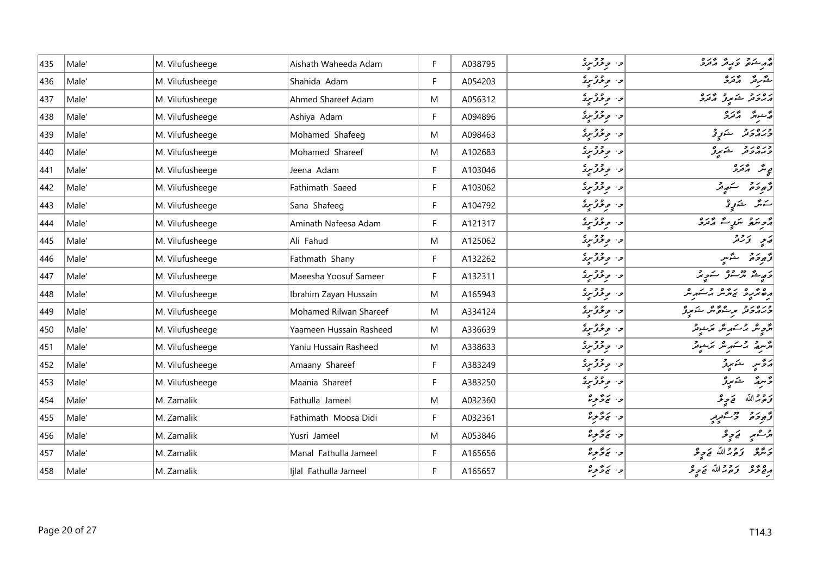| 435 | Male' | M. Vilufusheege | Aishath Waheeda Adam    | F           | A038795 | و ، وقوتوری                              | أوار ويحتمل وأباس والمرادر                                                                           |
|-----|-------|-----------------|-------------------------|-------------|---------|------------------------------------------|------------------------------------------------------------------------------------------------------|
| 436 | Male' | M. Vilufusheege | Shahida Adam            | F           | A054203 | و <sub>: ح</sub> وثور مربو               | شەرىتە ئەترو                                                                                         |
| 437 | Male' | M. Vilufusheege | Ahmed Shareef Adam      | M           | A056312 | و ، وِ وُرُ مِرِ وَ                      | رور و شهرو پره                                                                                       |
| 438 | Male' | M. Vilufusheege | Ashiya Adam             | F           | A094896 | و· وڅورنونځ                              | أوحشوش ومحترده                                                                                       |
| 439 | Male' | M. Vilufusheege | Mohamed Shafeeg         | M           | A098463 | و <sub>`</sub> و ژومړنگ                  | ورەرو شەرچ                                                                                           |
| 440 | Male' | M. Vilufusheege | Mohamed Shareef         | M           | A102683 | و <sub>:</sub> و ژوئر پوت <sup>و</sup>   | ورەرو شەيرو                                                                                          |
| 441 | Male' | M. Vilufusheege | Jeena Adam              | F.          | A103046 | و ، وقرقر مردگا                          | يې شر په ډګری                                                                                        |
| 442 | Male' | M. Vilufusheege | Fathimath Saeed         | F.          | A103062 | و۰ وڅو تړند                              | و و ده سکه میکن                                                                                      |
| 443 | Male' | M. Vilufusheege | Sana Shafeeg            | F           | A104792 | و <sub>: حو</sub> قرو ترو                | أَسَدُسُ الشَرَوِيْرُ                                                                                |
| 444 | Male' | M. Vilufusheege | Aminath Nafeesa Adam    | F           | A121317 | و <sub>`</sub> و ژومړنگ                  | أأدوبتهم تتروث أأوره                                                                                 |
| 445 | Male' | M. Vilufusheege | Ali Fahud               | ${\sf M}$   | A125062 | و· وڅورنونځ                              | أةرمج وترفر                                                                                          |
| 446 | Male' | M. Vilufusheege | Fathmath Shany          | $\mathsf F$ | A132262 | <mark>و <sub>ا</sub> وتوث</mark> ر پرت   | قرم فرقته والمحسنة المحسنة المحسنة المحسنة المناسية المنتجرة المنتجرة المنتجرة المنتجرة المنتجرة الم |
| 447 | Male' | M. Vilufusheege | Maeesha Yoosuf Sameer   | F           | A132311 | و· وڅو تړند                              | أترميش ورحوم سكوير                                                                                   |
| 448 | Male' | M. Vilufusheege | Ibrahim Zayan Hussain   | M           | A165943 | و· وِوُوْمِرِهُ                          | مقترره بهرس برخمه                                                                                    |
| 449 | Male' | M. Vilufusheege | Mohamed Rilwan Shareef  | M           | A334124 | و· وِوُوْمِرِهُ                          | ورەرو برخۇش خەيرۇ                                                                                    |
| 450 | Male' | M. Vilufusheege | Yaameen Hussain Rasheed | M           | A336639 | و· وِوُرْمٍوْ                            | الرويد برسورير برحوتر                                                                                |
| 451 | Male' | M. Vilufusheege | Yaniu Hussain Rasheed   | M           | A338633 | و <sub>: حو</sub> قرو تر <sub>و</sub> دُ | ترسمه برسكر تكر تكرهونه                                                                              |
| 452 | Male' | M. Vilufusheege | Amaany Shareef          | F           | A383249 | و <sub>`</sub> و ژومړنگ                  | پرځس ځمنونو                                                                                          |
| 453 | Male' | M. Vilufusheege | Maania Shareef          | F           | A383250 | و· وڅورمونځ                              | گرسمگر ڪمبرگر                                                                                        |
| 454 | Male' | M. Zamalik      | Fathulla Jameel         | M           | A032360 | و· ئاڭرىر                                | ترحرجه الله<br>تح تر بحر                                                                             |
| 455 | Male' | M. Zamalik      | Fathimath Moosa Didi    | F           | A032361 | و گائچونا                                | ا د د د مختصوبر<br>از مرده د مختصوبر                                                                 |
| 456 | Male' | M. Zamalik      | Yusri Jameel            | ${\sf M}$   | A053846 | د· ئ <sup>ى</sup> ئەر                    | أتركسمي فيحريحه                                                                                      |
| 457 | Male' | M. Zamalik      | Manal Fathulla Jameel   | $\mathsf F$ | A165656 | د ، ئاڭرىر                               | ح شرقر و محمد الله تح جر قر                                                                          |
| 458 | Male' | M. Zamalik      | Ijlal Fathulla Jameel   | F           | A165657 | و· ئاڭرىر                                | أرقع فرقر وتحدث الله فأحرقه                                                                          |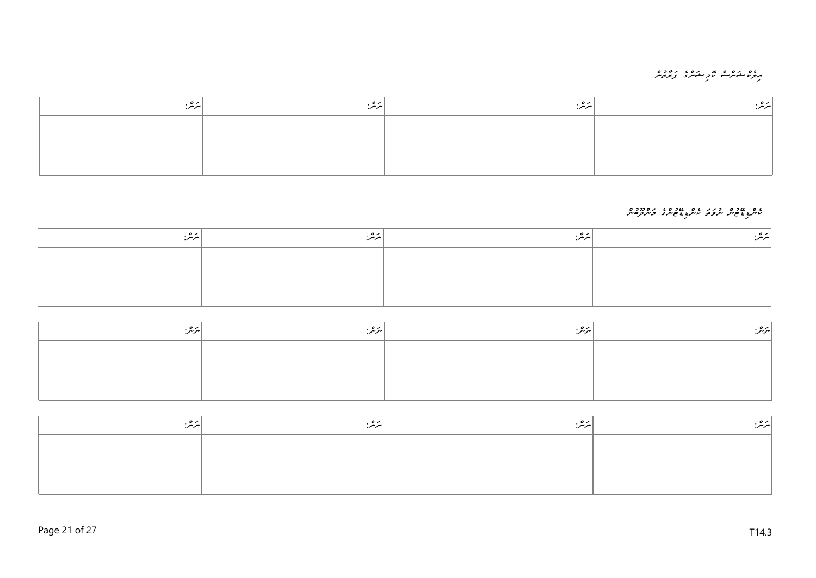## *w7qAn8m? sCw7mRo>u; wEw7mRw;sBo<*

| ايئرمين | $\overline{\phantom{a}}$ | ىر تە |
|---------|--------------------------|-------|
|         |                          |       |
|         |                          |       |
|         |                          |       |

## *w7q9r@w7m> sCw7qHtFoFw7s; mAm=q7 w7qHtFoFw7s;*

| ىر تە | $\mathcal{O} \times$<br>$\sim$ | $\sim$<br>. . | لترنثر |
|-------|--------------------------------|---------------|--------|
|       |                                |               |        |
|       |                                |               |        |
|       |                                |               |        |

| $\frac{2}{n}$ | $\overline{\phantom{a}}$ | اير هنه. | $\mathcal{O} \times$<br>سرسر |
|---------------|--------------------------|----------|------------------------------|
|               |                          |          |                              |
|               |                          |          |                              |
|               |                          |          |                              |

| ' ئىرتىر: | سر سر |  |
|-----------|-------|--|
|           |       |  |
|           |       |  |
|           |       |  |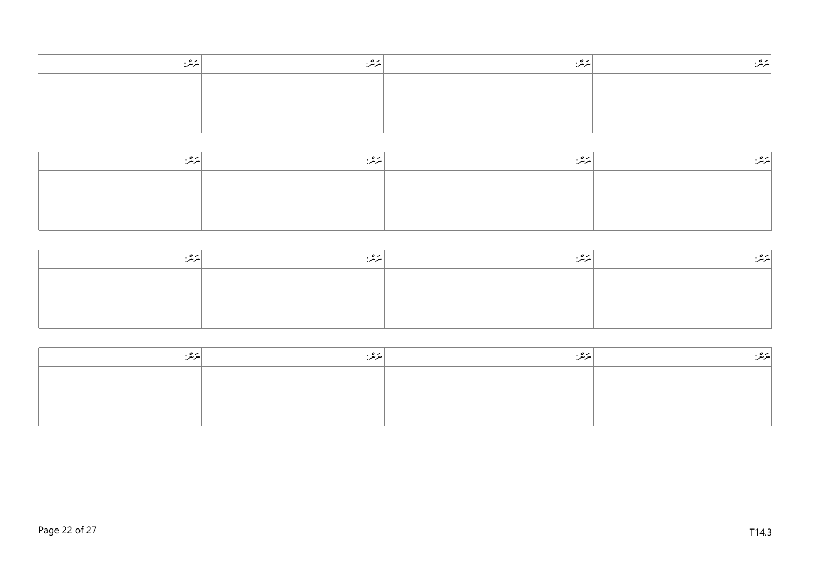| يزهر | $^{\circ}$ | ىئرىتر: |  |
|------|------------|---------|--|
|      |            |         |  |
|      |            |         |  |
|      |            |         |  |

| <sup>.</sup> سرسر. |  |
|--------------------|--|
|                    |  |
|                    |  |
|                    |  |

| ىئرىتر. | $\sim$ | ا بر هه. | لىرىش |
|---------|--------|----------|-------|
|         |        |          |       |
|         |        |          |       |
|         |        |          |       |

| يترمثر | $^{\circ}$ | يرمر. |
|--------|------------|-------|
|        |            |       |
|        |            |       |
|        |            |       |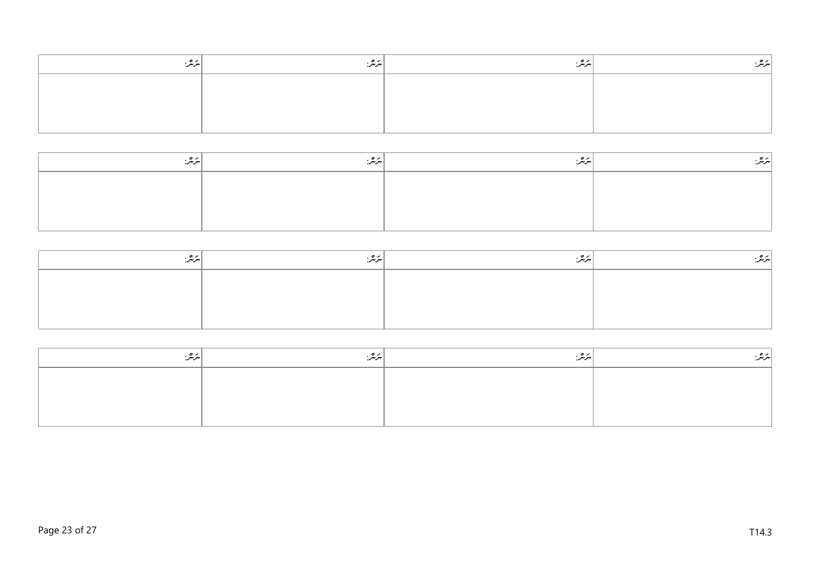| ير هو . | $\overline{\phantom{a}}$ | يرمر | اير هنه. |
|---------|--------------------------|------|----------|
|         |                          |      |          |
|         |                          |      |          |
|         |                          |      |          |

| ئىرتىر: | $\sim$<br>ا سرسر . | يئرمثر | o . |
|---------|--------------------|--------|-----|
|         |                    |        |     |
|         |                    |        |     |
|         |                    |        |     |

| انترنثر: | ر ه |  |
|----------|-----|--|
|          |     |  |
|          |     |  |
|          |     |  |

|  | . ه |
|--|-----|
|  |     |
|  |     |
|  |     |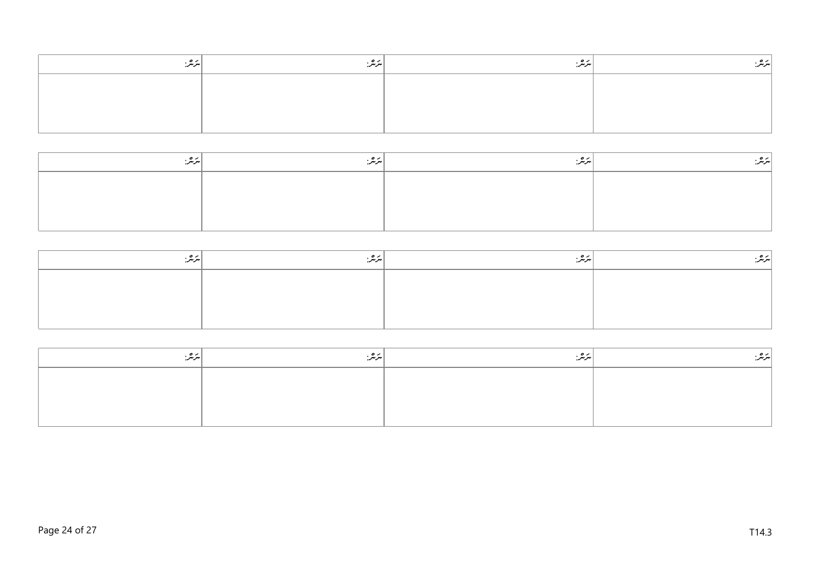| ير هو . | $\overline{\phantom{a}}$ | يرمر | اير هنه. |
|---------|--------------------------|------|----------|
|         |                          |      |          |
|         |                          |      |          |
|         |                          |      |          |

| ىئرىتى: | الترنثين | ا بر هر: | o <i>~</i><br>َ سرسر |
|---------|----------|----------|----------------------|
|         |          |          |                      |
|         |          |          |                      |
|         |          |          |                      |

| 'تترنثر: | 。<br>,,,, |  |
|----------|-----------|--|
|          |           |  |
|          |           |  |
|          |           |  |

|  | . ه |
|--|-----|
|  |     |
|  |     |
|  |     |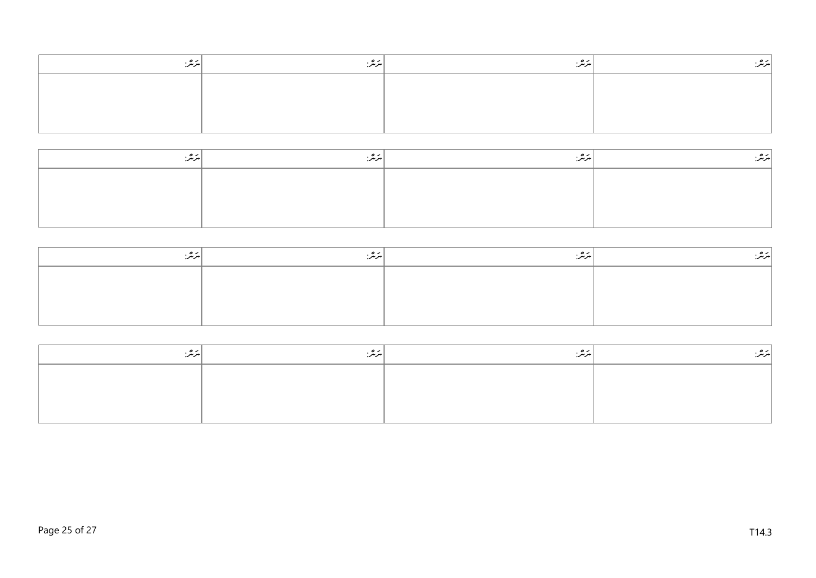| $\cdot$ | ο. | $\frac{\circ}{\cdot}$ | $\sim$<br>سرسر |
|---------|----|-----------------------|----------------|
|         |    |                       |                |
|         |    |                       |                |
|         |    |                       |                |

| ايرعر: | ر ه<br>. . |  |
|--------|------------|--|
|        |            |  |
|        |            |  |
|        |            |  |

| بر ه | 。 | $\overline{\phantom{0}}$<br>َ سومس. |  |
|------|---|-------------------------------------|--|
|      |   |                                     |  |
|      |   |                                     |  |
|      |   |                                     |  |

| 。<br>. س | ىرىىر |  |
|----------|-------|--|
|          |       |  |
|          |       |  |
|          |       |  |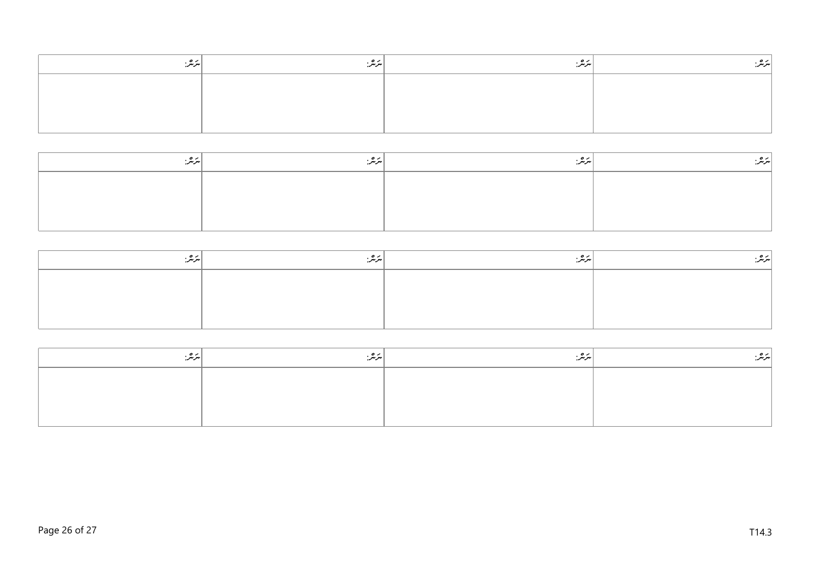| ير هو . | $\overline{\phantom{a}}$ | يرمر | لتزمثن |
|---------|--------------------------|------|--------|
|         |                          |      |        |
|         |                          |      |        |
|         |                          |      |        |

| ئىرتىر: | $\sim$<br>ا سرسر . | يئرمثر | o . |
|---------|--------------------|--------|-----|
|         |                    |        |     |
|         |                    |        |     |
|         |                    |        |     |

| انترنثر: | ر ه |  |
|----------|-----|--|
|          |     |  |
|          |     |  |
|          |     |  |

|  | . ه |
|--|-----|
|  |     |
|  |     |
|  |     |